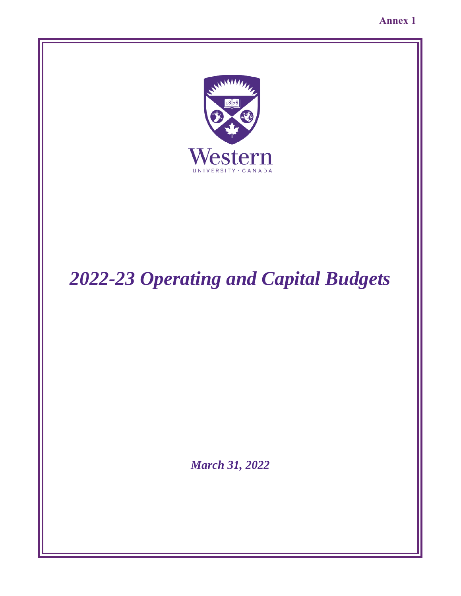**Annex 1** 



# *2022-23 Operating and Capital Budgets*

*March 31, 2022*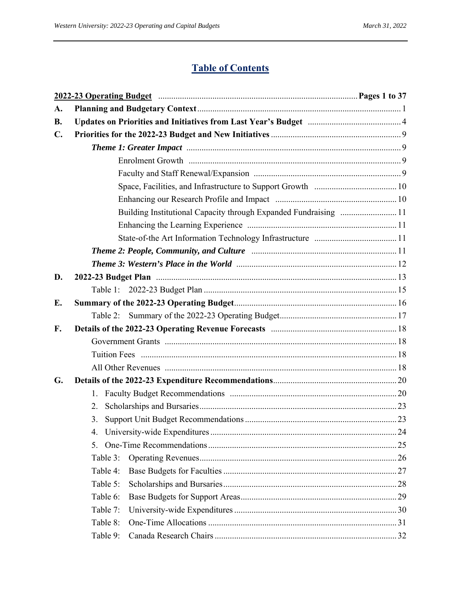# **Table of Contents**

|                |          | 2022-23 Operating Budget manufactured and all pages 1 to 37      |  |
|----------------|----------|------------------------------------------------------------------|--|
| A.             |          |                                                                  |  |
| <b>B.</b>      |          |                                                                  |  |
| $\mathbf{C}$ . |          |                                                                  |  |
|                |          |                                                                  |  |
|                |          |                                                                  |  |
|                |          |                                                                  |  |
|                |          |                                                                  |  |
|                |          |                                                                  |  |
|                |          | Building Institutional Capacity through Expanded Fundraising  11 |  |
|                |          |                                                                  |  |
|                |          |                                                                  |  |
|                |          |                                                                  |  |
|                |          |                                                                  |  |
| D.             |          |                                                                  |  |
|                |          |                                                                  |  |
| E.             |          |                                                                  |  |
|                | Table 2: |                                                                  |  |
| F.             |          |                                                                  |  |
|                |          |                                                                  |  |
|                |          |                                                                  |  |
|                |          |                                                                  |  |
| G.             |          |                                                                  |  |
|                | 1.       |                                                                  |  |
|                | 2.       |                                                                  |  |
|                | 3.       |                                                                  |  |
|                | 4.       |                                                                  |  |
|                | 5.       |                                                                  |  |
|                | Table 3: |                                                                  |  |
|                | Table 4: |                                                                  |  |
|                | Table 5: |                                                                  |  |
|                | Table 6: |                                                                  |  |
|                | Table 7: |                                                                  |  |
|                | Table 8: |                                                                  |  |
|                | Table 9: |                                                                  |  |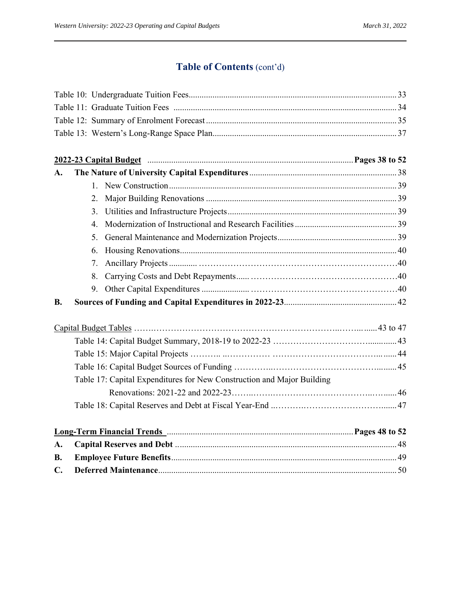# **Table of Contents** (cont'd)

|           | 2022-23 Capital Budget manufactured and control and Pages 38 to 52     |  |
|-----------|------------------------------------------------------------------------|--|
| А.        |                                                                        |  |
|           | $1_{-}$                                                                |  |
|           | 2.                                                                     |  |
|           | 3.                                                                     |  |
|           | 4.                                                                     |  |
|           | 5.                                                                     |  |
|           | 6.                                                                     |  |
|           | 7.                                                                     |  |
|           | 8.                                                                     |  |
|           |                                                                        |  |
| <b>B.</b> |                                                                        |  |
|           |                                                                        |  |
|           |                                                                        |  |
|           |                                                                        |  |
|           |                                                                        |  |
|           | Table 17: Capital Expenditures for New Construction and Major Building |  |
|           |                                                                        |  |
|           |                                                                        |  |
|           | Long-Term Financial Trends Manumerrellines and the Dages 48 to 52      |  |
| А.        |                                                                        |  |
| В.        |                                                                        |  |
| C.        |                                                                        |  |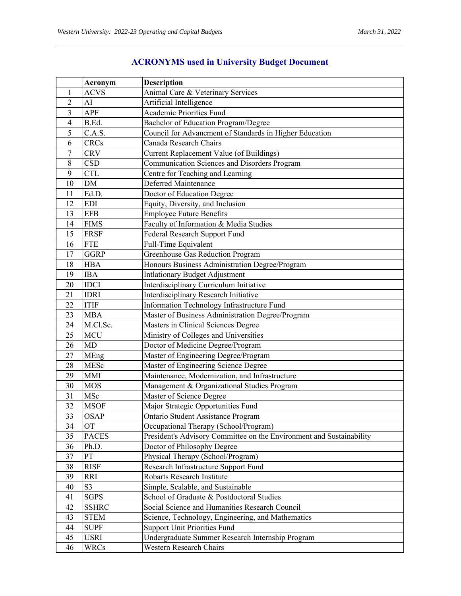|                         | Acronym        | <b>Description</b>                                                   |
|-------------------------|----------------|----------------------------------------------------------------------|
| 1                       | <b>ACVS</b>    | Animal Care & Veterinary Services                                    |
| $\overline{c}$          | AI             | Artificial Intelligence                                              |
| $\overline{\mathbf{3}}$ | <b>APF</b>     | <b>Academic Priorities Fund</b>                                      |
| $\overline{4}$          | B.Ed.          | Bachelor of Education Program/Degree                                 |
| 5                       | C.A.S.         | Council for Advancment of Standards in Higher Education              |
| 6                       | <b>CRCs</b>    | Canada Research Chairs                                               |
| 7                       | <b>CRV</b>     | Current Replacement Value (of Buildings)                             |
| 8                       | <b>CSD</b>     | Communication Sciences and Disorders Program                         |
| 9                       | <b>CTL</b>     | Centre for Teaching and Learning                                     |
| 10                      | $DM$           | Deferred Maintenance                                                 |
| 11                      | Ed.D.          | Doctor of Education Degree                                           |
| 12                      | <b>EDI</b>     | Equity, Diversity, and Inclusion                                     |
| 13                      | <b>EFB</b>     | <b>Employee Future Benefits</b>                                      |
| 14                      | <b>FIMS</b>    | Faculty of Information & Media Studies                               |
| 15                      | <b>FRSF</b>    | Federal Research Support Fund                                        |
| 16                      | <b>FTE</b>     | Full-Time Equivalent                                                 |
| 17                      | <b>GGRP</b>    | Greenhouse Gas Reduction Program                                     |
| 18                      | <b>HBA</b>     | Honours Business Administration Degree/Program                       |
| 19                      | <b>IBA</b>     | <b>Intlationary Budget Adjustment</b>                                |
| 20                      | <b>IDCI</b>    | Interdisciplinary Curriculum Initiative                              |
| 21                      | <b>IDRI</b>    | <b>Interdisciplinary Research Initiative</b>                         |
| 22                      | <b>ITIF</b>    | Information Technology Infrastructure Fund                           |
| 23                      | <b>MBA</b>     | Master of Business Administration Degree/Program                     |
| 24                      | M.Cl.Sc.       | Masters in Clinical Sciences Degree                                  |
| 25                      | <b>MCU</b>     | Ministry of Colleges and Universities                                |
| 26                      | <b>MD</b>      | Doctor of Medicine Degree/Program                                    |
| 27                      | MEng           | Master of Engineering Degree/Program                                 |
| 28                      | MESc           | Master of Engineering Science Degree                                 |
| 29                      | <b>MMI</b>     | Maintenance, Modernization, and Infrastructure                       |
| 30                      | <b>MOS</b>     | Management & Organizational Studies Program                          |
| 31                      | MSc            | Master of Science Degree                                             |
| 32                      | <b>MSOF</b>    | Major Strategic Opportunities Fund                                   |
| 33                      | <b>OSAP</b>    | Ontario Student Assistance Program                                   |
| 34                      | <b>OT</b>      | Occupational Therapy (School/Program)                                |
| 35                      | <b>PACES</b>   | President's Advisory Committee on the Environment and Sustainability |
| 36                      | Ph.D.          | Doctor of Philosophy Degree                                          |
| 37                      | PT             | Physical Therapy (School/Program)                                    |
| 38                      | <b>RISF</b>    | Research Infrastructure Support Fund                                 |
| 39                      | <b>RRI</b>     | Robarts Research Institute                                           |
| 40                      | S <sub>3</sub> | Simple, Scalable, and Sustainable                                    |
| 41                      | <b>SGPS</b>    | School of Graduate & Postdoctoral Studies                            |
| 42                      | <b>SSHRC</b>   | Social Science and Humanities Research Council                       |
| 43                      | <b>STEM</b>    | Science, Technology, Engineering, and Mathematics                    |
| 44                      | <b>SUPF</b>    | <b>Support Unit Priorities Fund</b>                                  |
| 45                      | <b>USRI</b>    | Undergraduate Summer Research Internship Program                     |
| 46                      | <b>WRCs</b>    | Western Research Chairs                                              |

# **ACRONYMS used in University Budget Document**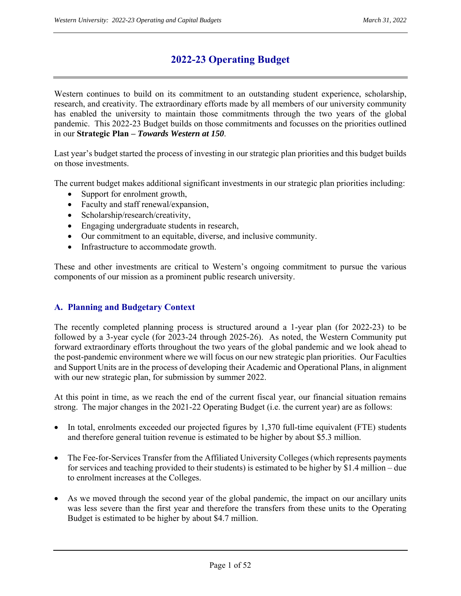# **2022-23 Operating Budget**

Western continues to build on its commitment to an outstanding student experience, scholarship, research, and creativity. The extraordinary efforts made by all members of our university community has enabled the university to maintain those commitments through the two years of the global pandemic. This 2022-23 Budget builds on those commitments and focusses on the priorities outlined in our **Strategic Plan –** *Towards Western at 150*.

Last year's budget started the process of investing in our strategic plan priorities and this budget builds on those investments.

The current budget makes additional significant investments in our strategic plan priorities including:

- Support for enrolment growth,
- Faculty and staff renewal/expansion,
- Scholarship/research/creativity,
- Engaging undergraduate students in research,
- Our commitment to an equitable, diverse, and inclusive community.
- Infrastructure to accommodate growth.

These and other investments are critical to Western's ongoing commitment to pursue the various components of our mission as a prominent public research university.

#### **A. Planning and Budgetary Context**

The recently completed planning process is structured around a 1-year plan (for 2022-23) to be followed by a 3-year cycle (for 2023-24 through 2025-26). As noted, the Western Community put forward extraordinary efforts throughout the two years of the global pandemic and we look ahead to the post-pandemic environment where we will focus on our new strategic plan priorities. Our Faculties and Support Units are in the process of developing their Academic and Operational Plans, in alignment with our new strategic plan, for submission by summer 2022.

At this point in time, as we reach the end of the current fiscal year, our financial situation remains strong. The major changes in the 2021-22 Operating Budget (i.e. the current year) are as follows:

- $\bullet$  In total, enrolments exceeded our projected figures by 1,370 full-time equivalent (FTE) students and therefore general tuition revenue is estimated to be higher by about \$5.3 million.
- The Fee-for-Services Transfer from the Affiliated University Colleges (which represents payments for services and teaching provided to their students) is estimated to be higher by \$1.4 million – due to enrolment increases at the Colleges.
- As we moved through the second year of the global pandemic, the impact on our ancillary units was less severe than the first year and therefore the transfers from these units to the Operating Budget is estimated to be higher by about \$4.7 million.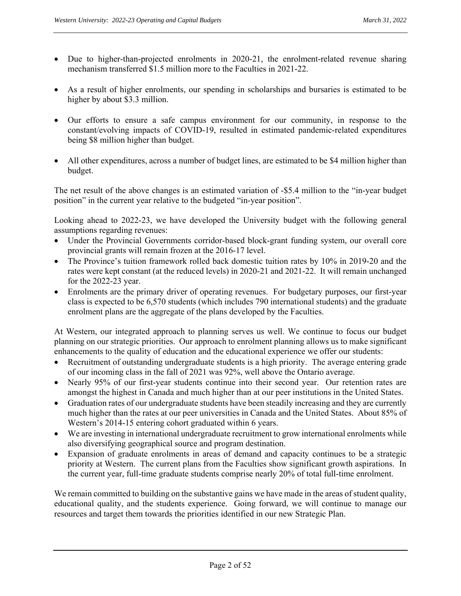- Due to higher-than-projected enrolments in 2020-21, the enrolment-related revenue sharing mechanism transferred \$1.5 million more to the Faculties in 2021-22.
- As a result of higher enrolments, our spending in scholarships and bursaries is estimated to be higher by about \$3.3 million.
- Our efforts to ensure a safe campus environment for our community, in response to the constant/evolving impacts of COVID-19, resulted in estimated pandemic-related expenditures being \$8 million higher than budget.
- All other expenditures, across a number of budget lines, are estimated to be \$4 million higher than budget.

The net result of the above changes is an estimated variation of -\$5.4 million to the "in-year budget position" in the current year relative to the budgeted "in-year position".

Looking ahead to 2022-23, we have developed the University budget with the following general assumptions regarding revenues:

- Under the Provincial Governments corridor-based block-grant funding system, our overall core provincial grants will remain frozen at the 2016-17 level.
- The Province's tuition framework rolled back domestic tuition rates by 10% in 2019-20 and the rates were kept constant (at the reduced levels) in 2020-21 and 2021-22. It will remain unchanged for the 2022-23 year.
- Enrolments are the primary driver of operating revenues. For budgetary purposes, our first-year class is expected to be 6,570 students (which includes 790 international students) and the graduate enrolment plans are the aggregate of the plans developed by the Faculties.

At Western, our integrated approach to planning serves us well. We continue to focus our budget planning on our strategic priorities. Our approach to enrolment planning allows us to make significant enhancements to the quality of education and the educational experience we offer our students:

- Recruitment of outstanding undergraduate students is a high priority. The average entering grade of our incoming class in the fall of 2021 was 92%, well above the Ontario average.
- Nearly 95% of our first-year students continue into their second year. Our retention rates are amongst the highest in Canada and much higher than at our peer institutions in the United States.
- Graduation rates of our undergraduate students have been steadily increasing and they are currently much higher than the rates at our peer universities in Canada and the United States. About 85% of Western's 2014-15 entering cohort graduated within 6 years.
- We are investing in international undergraduate recruitment to grow international enrolments while also diversifying geographical source and program destination.
- Expansion of graduate enrolments in areas of demand and capacity continues to be a strategic priority at Western. The current plans from the Faculties show significant growth aspirations. In the current year, full-time graduate students comprise nearly 20% of total full-time enrolment.

We remain committed to building on the substantive gains we have made in the areas of student quality, educational quality, and the students experience. Going forward, we will continue to manage our resources and target them towards the priorities identified in our new Strategic Plan.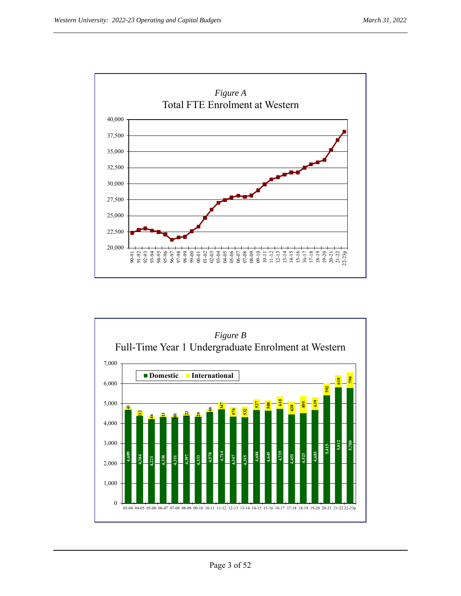

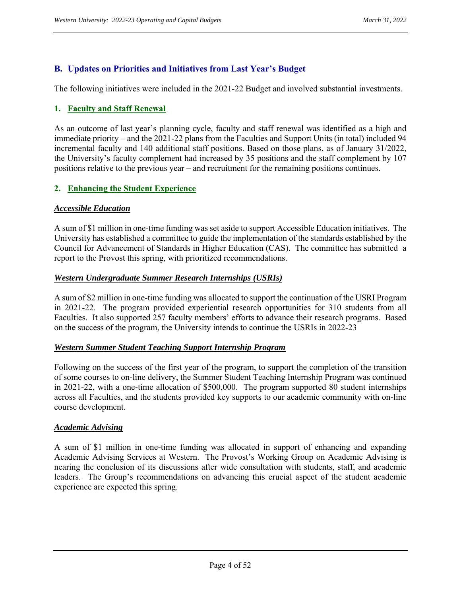## **B. Updates on Priorities and Initiatives from Last Year's Budget**

The following initiatives were included in the 2021-22 Budget and involved substantial investments.

#### **1. Faculty and Staff Renewal**

As an outcome of last year's planning cycle, faculty and staff renewal was identified as a high and immediate priority – and the 2021-22 plans from the Faculties and Support Units (in total) included 94 incremental faculty and 140 additional staff positions. Based on those plans, as of January 31/2022, the University's faculty complement had increased by 35 positions and the staff complement by 107 positions relative to the previous year – and recruitment for the remaining positions continues.

#### **2. Enhancing the Student Experience**

#### *Accessible Education*

A sum of \$1 million in one-time funding was set aside to support Accessible Education initiatives. The University has established a committee to guide the implementation of the standards established by the Council for Advancement of Standards in Higher Education (CAS). The committee has submitted a report to the Provost this spring, with prioritized recommendations.

#### *Western Undergraduate Summer Research Internships (USRIs)*

A sum of \$2 million in one-time funding was allocated to support the continuation of the USRI Program in 2021-22. The program provided experiential research opportunities for 310 students from all Faculties. It also supported 257 faculty members' efforts to advance their research programs. Based on the success of the program, the University intends to continue the USRIs in 2022-23

#### *Western Summer Student Teaching Support Internship Program*

Following on the success of the first year of the program, to support the completion of the transition of some courses to on-line delivery, the Summer Student Teaching Internship Program was continued in 2021-22, with a one-time allocation of \$500,000. The program supported 80 student internships across all Faculties, and the students provided key supports to our academic community with on-line course development.

#### *Academic Advising*

A sum of \$1 million in one-time funding was allocated in support of enhancing and expanding Academic Advising Services at Western. The Provost's Working Group on Academic Advising is nearing the conclusion of its discussions after wide consultation with students, staff, and academic leaders. The Group's recommendations on advancing this crucial aspect of the student academic experience are expected this spring.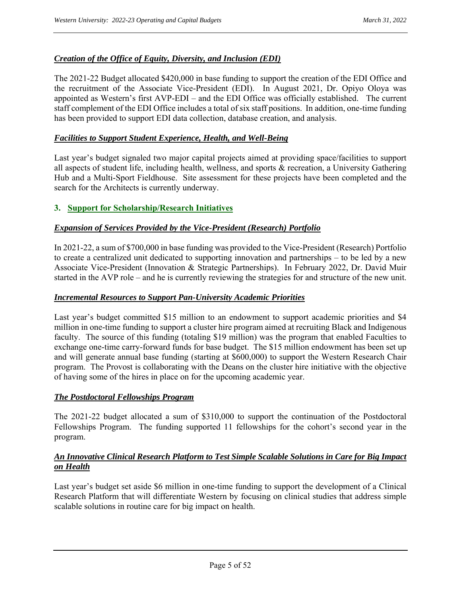### *Creation of the Office of Equity, Diversity, and Inclusion (EDI)*

The 2021-22 Budget allocated \$420,000 in base funding to support the creation of the EDI Office and the recruitment of the Associate Vice-President (EDI). In August 2021, Dr. Opiyo Oloya was appointed as Western's first AVP-EDI – and the EDI Office was officially established. The current staff complement of the EDI Office includes a total of six staff positions. In addition, one-time funding has been provided to support EDI data collection, database creation, and analysis.

#### *Facilities to Support Student Experience, Health, and Well-Being*

Last year's budget signaled two major capital projects aimed at providing space/facilities to support all aspects of student life, including health, wellness, and sports & recreation, a University Gathering Hub and a Multi-Sport Fieldhouse. Site assessment for these projects have been completed and the search for the Architects is currently underway.

#### **3. Support for Scholarship/Research Initiatives**

#### *Expansion of Services Provided by the Vice-President (Research) Portfolio*

In 2021-22, a sum of \$700,000 in base funding was provided to the Vice-President (Research) Portfolio to create a centralized unit dedicated to supporting innovation and partnerships – to be led by a new Associate Vice-President (Innovation & Strategic Partnerships). In February 2022, Dr. David Muir started in the AVP role – and he is currently reviewing the strategies for and structure of the new unit.

#### *Incremental Resources to Support Pan-University Academic Priorities*

Last year's budget committed \$15 million to an endowment to support academic priorities and \$4 million in one-time funding to support a cluster hire program aimed at recruiting Black and Indigenous faculty. The source of this funding (totaling \$19 million) was the program that enabled Faculties to exchange one-time carry-forward funds for base budget. The \$15 million endowment has been set up and will generate annual base funding (starting at \$600,000) to support the Western Research Chair program. The Provost is collaborating with the Deans on the cluster hire initiative with the objective of having some of the hires in place on for the upcoming academic year.

#### *The Postdoctoral Fellowships Program*

The 2021-22 budget allocated a sum of \$310,000 to support the continuation of the Postdoctoral Fellowships Program. The funding supported 11 fellowships for the cohort's second year in the program.

### *An Innovative Clinical Research Platform to Test Simple Scalable Solutions in Care for Big Impact on Health*

Last year's budget set aside \$6 million in one-time funding to support the development of a Clinical Research Platform that will differentiate Western by focusing on clinical studies that address simple scalable solutions in routine care for big impact on health.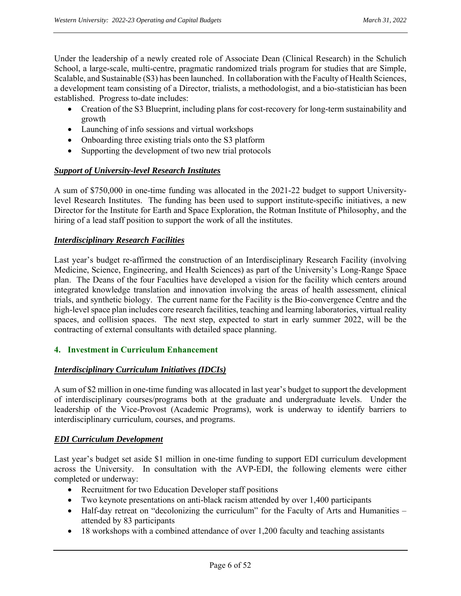Under the leadership of a newly created role of Associate Dean (Clinical Research) in the Schulich School, a large-scale, multi-centre, pragmatic randomized trials program for studies that are Simple, Scalable, and Sustainable (S3) has been launched. In collaboration with the Faculty of Health Sciences, a development team consisting of a Director, trialists, a methodologist, and a bio-statistician has been established. Progress to-date includes:

- Creation of the S3 Blueprint, including plans for cost-recovery for long-term sustainability and growth
- Launching of info sessions and virtual workshops
- Onboarding three existing trials onto the S3 platform
- Supporting the development of two new trial protocols

#### *Support of University-level Research Institutes*

A sum of \$750,000 in one-time funding was allocated in the 2021-22 budget to support Universitylevel Research Institutes. The funding has been used to support institute-specific initiatives, a new Director for the Institute for Earth and Space Exploration, the Rotman Institute of Philosophy, and the hiring of a lead staff position to support the work of all the institutes.

#### *Interdisciplinary Research Facilities*

Last year's budget re-affirmed the construction of an Interdisciplinary Research Facility (involving Medicine, Science, Engineering, and Health Sciences) as part of the University's Long-Range Space plan. The Deans of the four Faculties have developed a vision for the facility which centers around integrated knowledge translation and innovation involving the areas of health assessment, clinical trials, and synthetic biology. The current name for the Facility is the Bio-convergence Centre and the high-level space plan includes core research facilities, teaching and learning laboratories, virtual reality spaces, and collision spaces. The next step, expected to start in early summer 2022, will be the contracting of external consultants with detailed space planning.

#### **4. Investment in Curriculum Enhancement**

#### *Interdisciplinary Curriculum Initiatives (IDCIs)*

A sum of \$2 million in one-time funding was allocated in last year's budget to support the development of interdisciplinary courses/programs both at the graduate and undergraduate levels. Under the leadership of the Vice-Provost (Academic Programs), work is underway to identify barriers to interdisciplinary curriculum, courses, and programs.

#### *EDI Curriculum Development*

Last year's budget set aside \$1 million in one-time funding to support EDI curriculum development across the University. In consultation with the AVP-EDI, the following elements were either completed or underway:

- Recruitment for two Education Developer staff positions
- Two keynote presentations on anti-black racism attended by over 1,400 participants
- Half-day retreat on "decolonizing the curriculum" for the Faculty of Arts and Humanities attended by 83 participants
- 18 workshops with a combined attendance of over 1,200 faculty and teaching assistants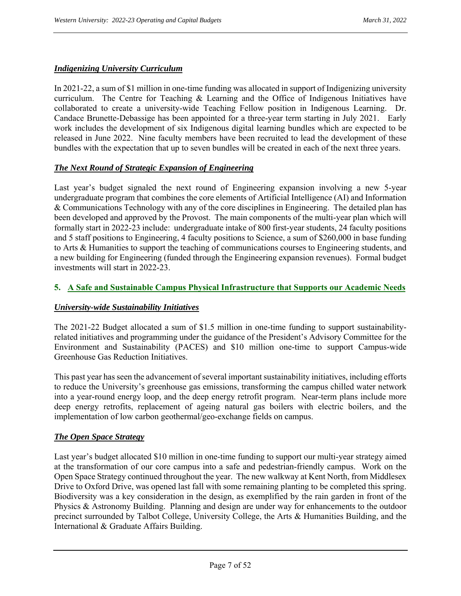#### *Indigenizing University Curriculum*

In 2021-22, a sum of \$1 million in one-time funding was allocated in support of Indigenizing university curriculum. The Centre for Teaching & Learning and the Office of Indigenous Initiatives have collaborated to create a university-wide Teaching Fellow position in Indigenous Learning. Dr. Candace Brunette-Debassige has been appointed for a three-year term starting in July 2021. Early work includes the development of six Indigenous digital learning bundles which are expected to be released in June 2022. Nine faculty members have been recruited to lead the development of these bundles with the expectation that up to seven bundles will be created in each of the next three years.

#### *The Next Round of Strategic Expansion of Engineering*

Last year's budget signaled the next round of Engineering expansion involving a new 5-year undergraduate program that combines the core elements of Artificial Intelligence (AI) and Information & Communications Technology with any of the core disciplines in Engineering. The detailed plan has been developed and approved by the Provost. The main components of the multi-year plan which will formally start in 2022-23 include: undergraduate intake of 800 first-year students, 24 faculty positions and 5 staff positions to Engineering, 4 faculty positions to Science, a sum of \$260,000 in base funding to Arts & Humanities to support the teaching of communications courses to Engineering students, and a new building for Engineering (funded through the Engineering expansion revenues). Formal budget investments will start in 2022-23.

#### **5. A Safe and Sustainable Campus Physical Infrastructure that Supports our Academic Needs**

#### *University-wide Sustainability Initiatives*

The 2021-22 Budget allocated a sum of \$1.5 million in one-time funding to support sustainabilityrelated initiatives and programming under the guidance of the President's Advisory Committee for the Environment and Sustainability (PACES) and \$10 million one-time to support Campus-wide Greenhouse Gas Reduction Initiatives.

This past year has seen the advancement of several important sustainability initiatives, including efforts to reduce the University's greenhouse gas emissions, transforming the campus chilled water network into a year-round energy loop, and the deep energy retrofit program. Near-term plans include more deep energy retrofits, replacement of ageing natural gas boilers with electric boilers, and the implementation of low carbon geothermal/geo-exchange fields on campus.

#### *The Open Space Strategy*

Last year's budget allocated \$10 million in one-time funding to support our multi-year strategy aimed at the transformation of our core campus into a safe and pedestrian-friendly campus. Work on the Open Space Strategy continued throughout the year. The new walkway at Kent North, from Middlesex Drive to Oxford Drive, was opened last fall with some remaining planting to be completed this spring. Biodiversity was a key consideration in the design, as exemplified by the rain garden in front of the Physics & Astronomy Building. Planning and design are under way for enhancements to the outdoor precinct surrounded by Talbot College, University College, the Arts & Humanities Building, and the International & Graduate Affairs Building.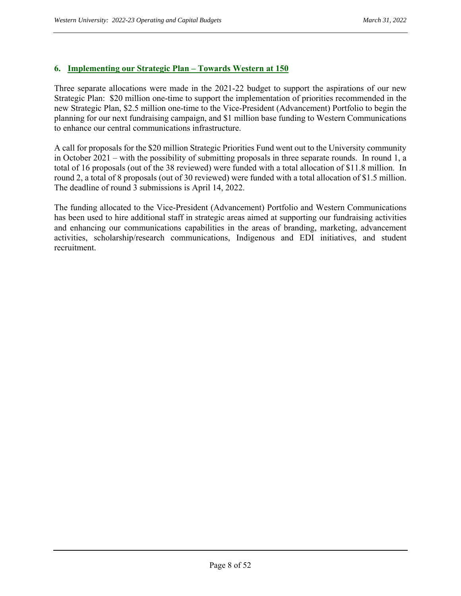#### **6. Implementing our Strategic Plan – Towards Western at 150**

Three separate allocations were made in the 2021-22 budget to support the aspirations of our new Strategic Plan: \$20 million one-time to support the implementation of priorities recommended in the new Strategic Plan, \$2.5 million one-time to the Vice-President (Advancement) Portfolio to begin the planning for our next fundraising campaign, and \$1 million base funding to Western Communications to enhance our central communications infrastructure.

A call for proposals for the \$20 million Strategic Priorities Fund went out to the University community in October 2021 – with the possibility of submitting proposals in three separate rounds. In round 1, a total of 16 proposals (out of the 38 reviewed) were funded with a total allocation of \$11.8 million. In round 2, a total of 8 proposals (out of 30 reviewed) were funded with a total allocation of \$1.5 million. The deadline of round 3 submissions is April 14, 2022.

The funding allocated to the Vice-President (Advancement) Portfolio and Western Communications has been used to hire additional staff in strategic areas aimed at supporting our fundraising activities and enhancing our communications capabilities in the areas of branding, marketing, advancement activities, scholarship/research communications, Indigenous and EDI initiatives, and student recruitment.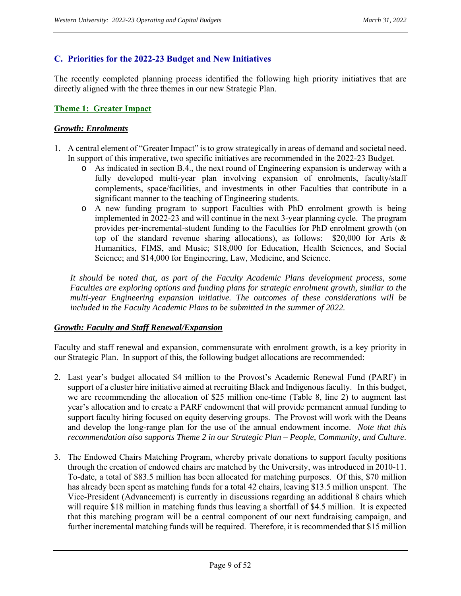#### **C. Priorities for the 2022-23 Budget and New Initiatives**

The recently completed planning process identified the following high priority initiatives that are directly aligned with the three themes in our new Strategic Plan.

#### **Theme 1: Greater Impact**

#### *Growth: Enrolments*

- 1. A central element of "Greater Impact" is to grow strategically in areas of demand and societal need. In support of this imperative, two specific initiatives are recommended in the 2022-23 Budget.
	- o As indicated in section B.4., the next round of Engineering expansion is underway with a fully developed multi-year plan involving expansion of enrolments, faculty/staff complements, space/facilities, and investments in other Faculties that contribute in a significant manner to the teaching of Engineering students.
	- o A new funding program to support Faculties with PhD enrolment growth is being implemented in 2022-23 and will continue in the next 3-year planning cycle. The program provides per-incremental-student funding to the Faculties for PhD enrolment growth (on top of the standard revenue sharing allocations), as follows: \$20,000 for Arts & Humanities, FIMS, and Music; \$18,000 for Education, Health Sciences, and Social Science; and \$14,000 for Engineering, Law, Medicine, and Science.

*It should be noted that, as part of the Faculty Academic Plans development process, some Faculties are exploring options and funding plans for strategic enrolment growth, similar to the multi-year Engineering expansion initiative. The outcomes of these considerations will be included in the Faculty Academic Plans to be submitted in the summer of 2022.* 

#### *Growth: Faculty and Staff Renewal/Expansion*

Faculty and staff renewal and expansion, commensurate with enrolment growth, is a key priority in our Strategic Plan. In support of this, the following budget allocations are recommended:

- 2. Last year's budget allocated \$4 million to the Provost's Academic Renewal Fund (PARF) in support of a cluster hire initiative aimed at recruiting Black and Indigenous faculty. In this budget, we are recommending the allocation of \$25 million one-time (Table 8, line 2) to augment last year's allocation and to create a PARF endowment that will provide permanent annual funding to support faculty hiring focused on equity deserving groups. The Provost will work with the Deans and develop the long-range plan for the use of the annual endowment income. *Note that this recommendation also supports Theme 2 in our Strategic Plan – People, Community, and Culture*.
- 3. The Endowed Chairs Matching Program, whereby private donations to support faculty positions through the creation of endowed chairs are matched by the University, was introduced in 2010-11. To-date, a total of \$83.5 million has been allocated for matching purposes. Of this, \$70 million has already been spent as matching funds for a total 42 chairs, leaving \$13.5 million unspent. The Vice-President (Advancement) is currently in discussions regarding an additional 8 chairs which will require \$18 million in matching funds thus leaving a shortfall of \$4.5 million. It is expected that this matching program will be a central component of our next fundraising campaign, and further incremental matching funds will be required. Therefore, it is recommended that \$15 million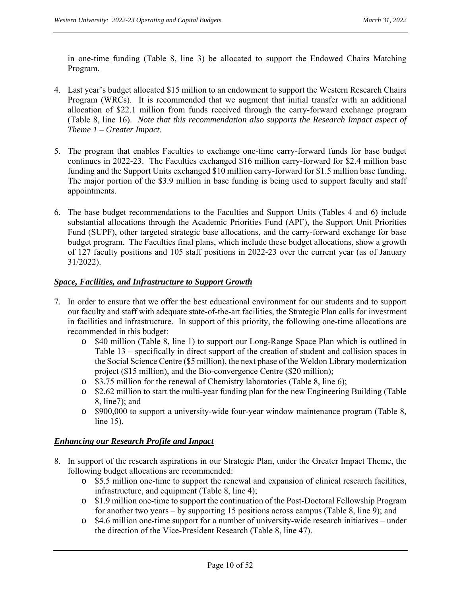in one-time funding (Table 8, line 3) be allocated to support the Endowed Chairs Matching Program.

- 4. Last year's budget allocated \$15 million to an endowment to support the Western Research Chairs Program (WRCs). It is recommended that we augment that initial transfer with an additional allocation of \$22.1 million from funds received through the carry-forward exchange program (Table 8, line 16). *Note that this recommendation also supports the Research Impact aspect of Theme 1 – Greater Impact*.
- 5. The program that enables Faculties to exchange one-time carry-forward funds for base budget continues in 2022-23. The Faculties exchanged \$16 million carry-forward for \$2.4 million base funding and the Support Units exchanged \$10 million carry-forward for \$1.5 million base funding. The major portion of the \$3.9 million in base funding is being used to support faculty and staff appointments.
- 6. The base budget recommendations to the Faculties and Support Units (Tables 4 and 6) include substantial allocations through the Academic Priorities Fund (APF), the Support Unit Priorities Fund (SUPF), other targeted strategic base allocations, and the carry-forward exchange for base budget program. The Faculties final plans, which include these budget allocations, show a growth of 127 faculty positions and 105 staff positions in 2022-23 over the current year (as of January 31/2022).

#### *Space, Facilities, and Infrastructure to Support Growth*

- 7. In order to ensure that we offer the best educational environment for our students and to support our faculty and staff with adequate state-of-the-art facilities, the Strategic Plan calls for investment in facilities and infrastructure. In support of this priority, the following one-time allocations are recommended in this budget:
	- o \$40 million (Table 8, line 1) to support our Long-Range Space Plan which is outlined in Table 13 – specifically in direct support of the creation of student and collision spaces in the Social Science Centre (\$5 million), the next phase of the Weldon Library modernization project (\$15 million), and the Bio-convergence Centre (\$20 million);
	- o \$3.75 million for the renewal of Chemistry laboratories (Table 8, line 6);
	- o \$2.62 million to start the multi-year funding plan for the new Engineering Building (Table 8, line7); and
	- o \$900,000 to support a university-wide four-year window maintenance program (Table 8, line 15).

#### *Enhancing our Research Profile and Impact*

- 8. In support of the research aspirations in our Strategic Plan, under the Greater Impact Theme, the following budget allocations are recommended:
	- o \$5.5 million one-time to support the renewal and expansion of clinical research facilities, infrastructure, and equipment (Table 8, line 4);
	- o \$1.9 million one-time to support the continuation of the Post-Doctoral Fellowship Program for another two years – by supporting 15 positions across campus (Table 8, line 9); and
	- o \$4.6 million one-time support for a number of university-wide research initiatives under the direction of the Vice-President Research (Table 8, line 47).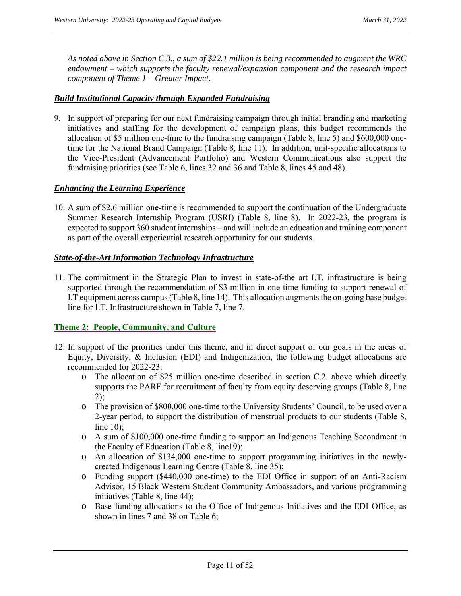*As noted above in Section C.3., a sum of \$22.1 million is being recommended to augment the WRC endowment – which supports the faculty renewal/expansion component and the research impact component of Theme 1 – Greater Impact*.

#### *Build Institutional Capacity through Expanded Fundraising*

9. In support of preparing for our next fundraising campaign through initial branding and marketing initiatives and staffing for the development of campaign plans, this budget recommends the allocation of \$5 million one-time to the fundraising campaign (Table 8, line 5) and \$600,000 onetime for the National Brand Campaign (Table 8, line 11). In addition, unit-specific allocations to the Vice-President (Advancement Portfolio) and Western Communications also support the fundraising priorities (see Table 6, lines 32 and 36 and Table 8, lines 45 and 48).

#### *Enhancing the Learning Experience*

10. A sum of \$2.6 million one-time is recommended to support the continuation of the Undergraduate Summer Research Internship Program (USRI) (Table 8, line 8). In 2022-23, the program is expected to support 360 student internships – and will include an education and training component as part of the overall experiential research opportunity for our students.

#### *State-of-the-Art Information Technology Infrastructure*

11. The commitment in the Strategic Plan to invest in state-of-the art I.T. infrastructure is being supported through the recommendation of \$3 million in one-time funding to support renewal of I.T equipment across campus (Table 8, line 14). This allocation augments the on-going base budget line for I.T. Infrastructure shown in Table 7, line 7.

#### **Theme 2: People, Community, and Culture**

- 12. In support of the priorities under this theme, and in direct support of our goals in the areas of Equity, Diversity, & Inclusion (EDI) and Indigenization, the following budget allocations are recommended for 2022-23:
	- o The allocation of \$25 million one-time described in section C.2. above which directly supports the PARF for recruitment of faculty from equity deserving groups (Table 8, line  $2)$ ;
	- o The provision of \$800,000 one-time to the University Students' Council, to be used over a 2-year period, to support the distribution of menstrual products to our students (Table 8, line 10);
	- o A sum of \$100,000 one-time funding to support an Indigenous Teaching Secondment in the Faculty of Education (Table 8, line19);
	- o An allocation of \$134,000 one-time to support programming initiatives in the newlycreated Indigenous Learning Centre (Table 8, line 35);
	- o Funding support (\$440,000 one-time) to the EDI Office in support of an Anti-Racism Advisor, 15 Black Western Student Community Ambassadors, and various programming initiatives (Table 8, line 44);
	- o Base funding allocations to the Office of Indigenous Initiatives and the EDI Office, as shown in lines 7 and 38 on Table 6;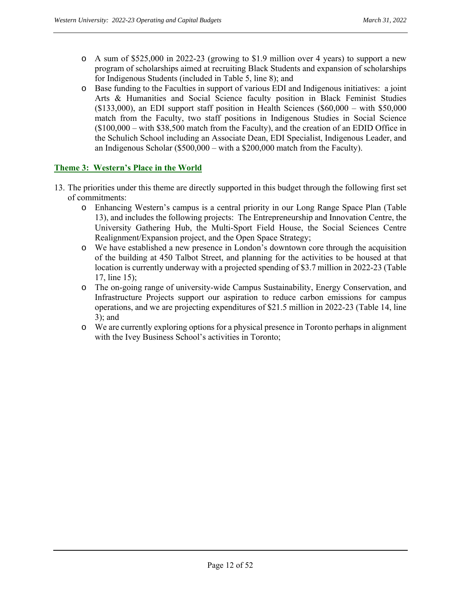- o A sum of \$525,000 in 2022-23 (growing to \$1.9 million over 4 years) to support a new program of scholarships aimed at recruiting Black Students and expansion of scholarships for Indigenous Students (included in Table 5, line 8); and
- o Base funding to the Faculties in support of various EDI and Indigenous initiatives: a joint Arts & Humanities and Social Science faculty position in Black Feminist Studies  $($133,000)$ , an EDI support staff position in Health Sciences  $($60,000 - with $50,000$ match from the Faculty, two staff positions in Indigenous Studies in Social Science (\$100,000 – with \$38,500 match from the Faculty), and the creation of an EDID Office in the Schulich School including an Associate Dean, EDI Specialist, Indigenous Leader, and an Indigenous Scholar (\$500,000 – with a \$200,000 match from the Faculty).

#### **Theme 3: Western's Place in the World**

- 13. The priorities under this theme are directly supported in this budget through the following first set of commitments:
	- o Enhancing Western's campus is a central priority in our Long Range Space Plan (Table 13), and includes the following projects: The Entrepreneurship and Innovation Centre, the University Gathering Hub, the Multi-Sport Field House, the Social Sciences Centre Realignment/Expansion project, and the Open Space Strategy;
	- o We have established a new presence in London's downtown core through the acquisition of the building at 450 Talbot Street, and planning for the activities to be housed at that location is currently underway with a projected spending of \$3.7 million in 2022-23 (Table 17, line 15);
	- o The on-going range of university-wide Campus Sustainability, Energy Conservation, and Infrastructure Projects support our aspiration to reduce carbon emissions for campus operations, and we are projecting expenditures of \$21.5 million in 2022-23 (Table 14, line 3); and
	- o We are currently exploring options for a physical presence in Toronto perhaps in alignment with the Ivey Business School's activities in Toronto;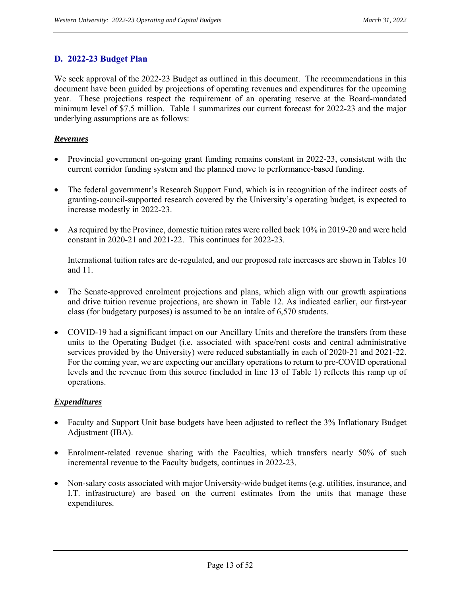### **D. 2022-23 Budget Plan**

We seek approval of the 2022-23 Budget as outlined in this document. The recommendations in this document have been guided by projections of operating revenues and expenditures for the upcoming year. These projections respect the requirement of an operating reserve at the Board-mandated minimum level of \$7.5 million. Table 1 summarizes our current forecast for 2022-23 and the major underlying assumptions are as follows:

#### *Revenues*

- Provincial government on-going grant funding remains constant in 2022-23, consistent with the current corridor funding system and the planned move to performance-based funding.
- The federal government's Research Support Fund, which is in recognition of the indirect costs of granting-council-supported research covered by the University's operating budget, is expected to increase modestly in 2022-23.
- As required by the Province, domestic tuition rates were rolled back 10% in 2019-20 and were held constant in 2020-21 and 2021-22. This continues for 2022-23.

International tuition rates are de-regulated, and our proposed rate increases are shown in Tables 10 and 11.

- The Senate-approved enrolment projections and plans, which align with our growth aspirations and drive tuition revenue projections, are shown in Table 12. As indicated earlier, our first-year class (for budgetary purposes) is assumed to be an intake of 6,570 students.
- COVID-19 had a significant impact on our Ancillary Units and therefore the transfers from these units to the Operating Budget (i.e. associated with space/rent costs and central administrative services provided by the University) were reduced substantially in each of 2020-21 and 2021-22. For the coming year, we are expecting our ancillary operations to return to pre-COVID operational levels and the revenue from this source (included in line 13 of Table 1) reflects this ramp up of operations.

#### *Expenditures*

- Faculty and Support Unit base budgets have been adjusted to reflect the 3% Inflationary Budget Adjustment (IBA).
- Enrolment-related revenue sharing with the Faculties, which transfers nearly 50% of such incremental revenue to the Faculty budgets, continues in 2022-23.
- Non-salary costs associated with major University-wide budget items (e.g. utilities, insurance, and I.T. infrastructure) are based on the current estimates from the units that manage these expenditures.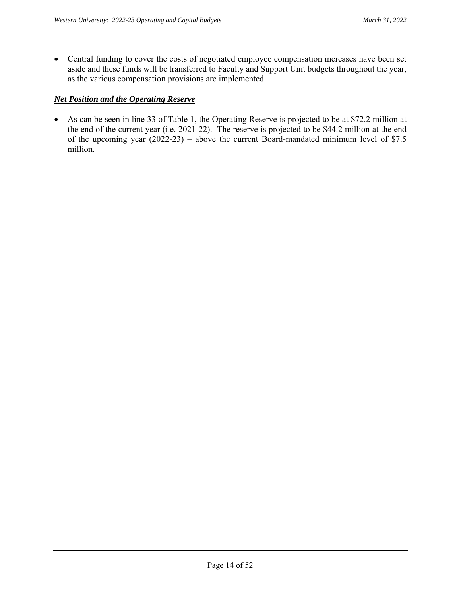Central funding to cover the costs of negotiated employee compensation increases have been set aside and these funds will be transferred to Faculty and Support Unit budgets throughout the year, as the various compensation provisions are implemented.

#### *Net Position and the Operating Reserve*

 As can be seen in line 33 of Table 1, the Operating Reserve is projected to be at \$72.2 million at the end of the current year (i.e. 2021-22). The reserve is projected to be \$44.2 million at the end of the upcoming year (2022-23) – above the current Board-mandated minimum level of \$7.5 million.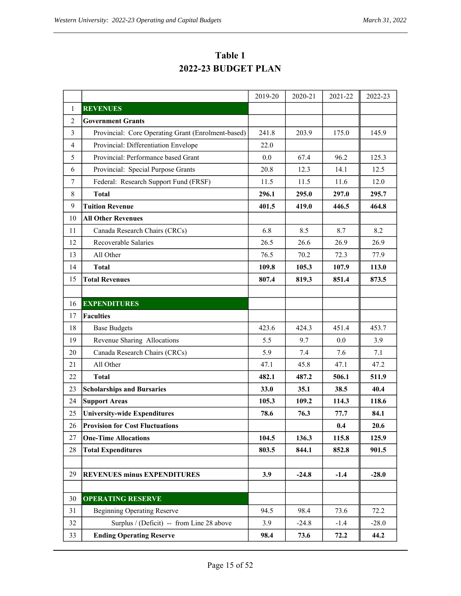|                |                                                    | 2019-20 | 2020-21 | 2021-22 | 2022-23 |
|----------------|----------------------------------------------------|---------|---------|---------|---------|
| 1              | <b>REVENUES</b>                                    |         |         |         |         |
| $\overline{2}$ | <b>Government Grants</b>                           |         |         |         |         |
| 3              | Provincial: Core Operating Grant (Enrolment-based) | 241.8   | 203.9   | 175.0   | 145.9   |
| $\overline{4}$ | Provincial: Differentiation Envelope               | 22.0    |         |         |         |
| 5              | Provincial: Performance based Grant                | 0.0     | 67.4    | 96.2    | 125.3   |
| 6              | Provincial: Special Purpose Grants                 | 20.8    | 12.3    | 14.1    | 12.5    |
| $\tau$         | Federal: Research Support Fund (FRSF)              | 11.5    | 11.5    | 11.6    | 12.0    |
| 8              | <b>Total</b>                                       | 296.1   | 295.0   | 297.0   | 295.7   |
| 9              | <b>Tuition Revenue</b>                             | 401.5   | 419.0   | 446.5   | 464.8   |
| 10             | <b>All Other Revenues</b>                          |         |         |         |         |
| 11             | Canada Research Chairs (CRCs)                      | 6.8     | 8.5     | 8.7     | 8.2     |
| 12             | Recoverable Salaries                               | 26.5    | 26.6    | 26.9    | 26.9    |
| 13             | All Other                                          | 76.5    | 70.2    | 72.3    | 77.9    |
| 14             | <b>Total</b>                                       | 109.8   | 105.3   | 107.9   | 113.0   |
| 15             | <b>Total Revenues</b>                              | 807.4   | 819.3   | 851.4   | 873.5   |
|                |                                                    |         |         |         |         |
| 16             | <b>EXPENDITURES</b>                                |         |         |         |         |
| 17             | <b>Faculties</b>                                   |         |         |         |         |
| 18             | <b>Base Budgets</b>                                | 423.6   | 424.3   | 451.4   | 453.7   |
| 19             | Revenue Sharing Allocations                        | 5.5     | 9.7     | 0.0     | 3.9     |
| 20             | Canada Research Chairs (CRCs)                      | 5.9     | 7.4     | 7.6     | 7.1     |
| 21             | All Other                                          | 47.1    | 45.8    | 47.1    | 47.2    |
| 22             | <b>Total</b>                                       | 482.1   | 487.2   | 506.1   | 511.9   |
| 23             | <b>Scholarships and Bursaries</b>                  | 33.0    | 35.1    | 38.5    | 40.4    |
| 24             | <b>Support Areas</b>                               | 105.3   | 109.2   | 114.3   | 118.6   |
| 25             | <b>University-wide Expenditures</b>                | 78.6    | 76.3    | 77.7    | 84.1    |
|                | 26 Provision for Cost Fluctuations                 |         |         | 0.4     | 20.6    |
| 27             | <b>One-Time Allocations</b>                        | 104.5   | 136.3   | 115.8   | 125.9   |
| $28\,$         | <b>Total Expenditures</b>                          | 803.5   | 844.1   | 852.8   | 901.5   |
|                |                                                    |         |         |         |         |
| 29             | <b>REVENUES minus EXPENDITURES</b>                 | 3.9     | $-24.8$ | $-1.4$  | $-28.0$ |
|                |                                                    |         |         |         |         |
| 30             | <b>OPERATING RESERVE</b>                           |         |         |         |         |
| 31             | <b>Beginning Operating Reserve</b>                 | 94.5    | 98.4    | 73.6    | 72.2    |
| 32             | Surplus / (Deficit) -- from Line 28 above          | 3.9     | $-24.8$ | $-1.4$  | $-28.0$ |
| 33             | <b>Ending Operating Reserve</b>                    | 98.4    | 73.6    | 72.2    | 44.2    |

**Table 1 2022-23 BUDGET PLAN**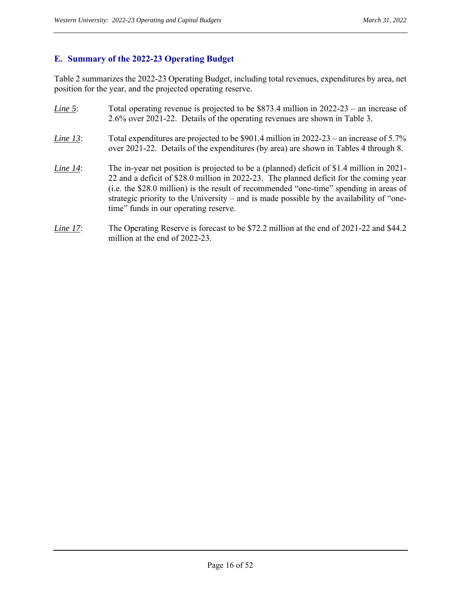# **E. Summary of the 2022-23 Operating Budget**

Table 2 summarizes the 2022-23 Operating Budget, including total revenues, expenditures by area, net position for the year, and the projected operating reserve.

| Line 5:  | Total operating revenue is projected to be $$873.4$ million in 2022-23 – an increase of<br>2.6% over 2021-22. Details of the operating revenues are shown in Table 3.                                                                                                                                                                                                                                              |
|----------|--------------------------------------------------------------------------------------------------------------------------------------------------------------------------------------------------------------------------------------------------------------------------------------------------------------------------------------------------------------------------------------------------------------------|
| Line 13: | Total expenditures are projected to be \$901.4 million in $2022-23$ – an increase of 5.7%<br>over 2021-22. Details of the expenditures (by area) are shown in Tables 4 through 8.                                                                                                                                                                                                                                  |
| Line 14: | The in-year net position is projected to be a (planned) deficit of \$1.4 million in 2021-<br>22 and a deficit of \$28.0 million in 2022-23. The planned deficit for the coming year<br>(i.e. the \$28.0 million) is the result of recommended "one-time" spending in areas of<br>strategic priority to the University – and is made possible by the availability of "one-<br>time" funds in our operating reserve. |

*Line 17*: The Operating Reserve is forecast to be \$72.2 million at the end of 2021-22 and \$44.2 million at the end of 2022-23.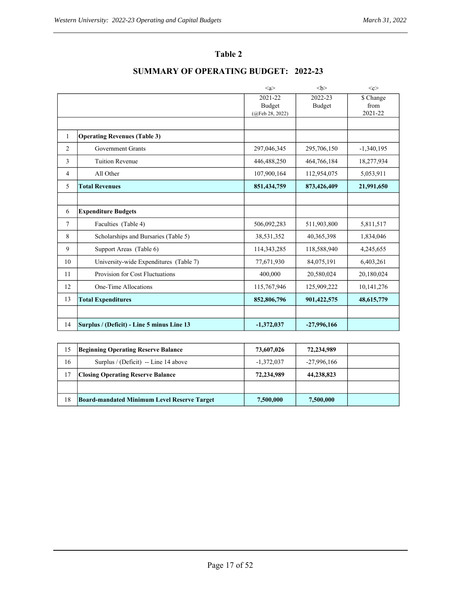# **Table 2**

|                |                                            | $\langle a \rangle$ |                   | < <c></c>         |
|----------------|--------------------------------------------|---------------------|-------------------|-------------------|
|                |                                            | 2021-22<br>Budget   | 2022-23<br>Budget | \$ Change<br>from |
|                |                                            | (QFeb 28, 2022)     |                   | 2021-22           |
| 1              | <b>Operating Revenues (Table 3)</b>        |                     |                   |                   |
| $\overline{c}$ | <b>Government Grants</b>                   | 297,046,345         | 295,706,150       | $-1,340,195$      |
| 3              | <b>Tuition Revenue</b>                     | 446,488,250         | 464,766,184       | 18,277,934        |
| 4              | All Other                                  | 107,900,164         | 112,954,075       | 5,053,911         |
| 5              | <b>Total Revenues</b>                      | 851,434,759         | 873,426,409       | 21,991,650        |
|                |                                            |                     |                   |                   |
| 6              | <b>Expenditure Budgets</b>                 |                     |                   |                   |
| $\tau$         | Faculties (Table 4)                        | 506,092,283         | 511,903,800       | 5,811,517         |
| 8              | Scholarships and Bursaries (Table 5)       | 38,531,352          | 40,365,398        | 1,834,046         |
| 9              | Support Areas (Table 6)                    | 114,343,285         | 118,588,940       | 4,245,655         |
| 10             | University-wide Expenditures (Table 7)     | 77,671,930          | 84,075,191        | 6,403,261         |
| 11             | Provision for Cost Fluctuations            | 400,000             | 20,580,024        | 20,180,024        |
| 12             | One-Time Allocations                       | 115,767,946         | 125,909,222       | 10,141,276        |
| 13             | <b>Total Expenditures</b>                  | 852,806,796         | 901,422,575       | 48,615,779        |
|                |                                            |                     |                   |                   |
| 14             | Surplus / (Deficit) - Line 5 minus Line 13 | $-1,372,037$        | $-27,996,166$     |                   |

# **SUMMARY OF OPERATING BUDGET: 2022-23**

| 15 | <b>Beginning Operating Reserve Balance</b>         | 73,607,026   | 72,234,989    |  |
|----|----------------------------------------------------|--------------|---------------|--|
| 16 | Surplus / (Deficit) -- Line 14 above               | $-1,372,037$ | $-27,996,166$ |  |
| 17 | <b>Closing Operating Reserve Balance</b>           | 72,234,989   | 44,238,823    |  |
|    |                                                    |              |               |  |
| 18 | <b>Board-mandated Minimum Level Reserve Target</b> | 7,500,000    | 7,500,000     |  |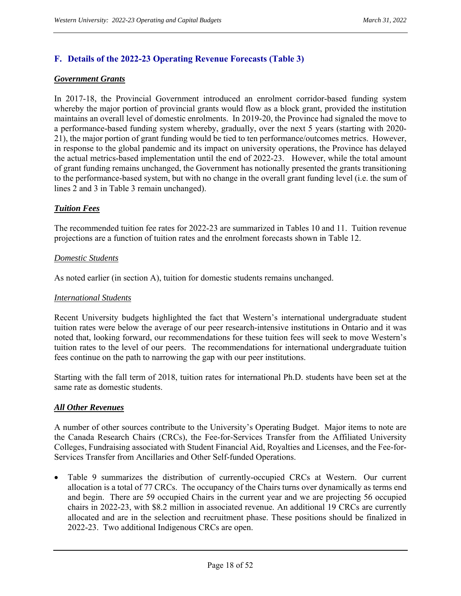# **F. Details of the 2022-23 Operating Revenue Forecasts (Table 3)**

#### *Government Grants*

In 2017-18, the Provincial Government introduced an enrolment corridor-based funding system whereby the major portion of provincial grants would flow as a block grant, provided the institution maintains an overall level of domestic enrolments. In 2019-20, the Province had signaled the move to a performance-based funding system whereby, gradually, over the next 5 years (starting with 2020- 21), the major portion of grant funding would be tied to ten performance/outcomes metrics. However, in response to the global pandemic and its impact on university operations, the Province has delayed the actual metrics-based implementation until the end of 2022-23. However, while the total amount of grant funding remains unchanged, the Government has notionally presented the grants transitioning to the performance-based system, but with no change in the overall grant funding level (i.e. the sum of lines 2 and 3 in Table 3 remain unchanged).

#### *Tuition Fees*

The recommended tuition fee rates for 2022-23 are summarized in Tables 10 and 11. Tuition revenue projections are a function of tuition rates and the enrolment forecasts shown in Table 12.

#### *Domestic Students*

As noted earlier (in section A), tuition for domestic students remains unchanged.

#### *International Students*

Recent University budgets highlighted the fact that Western's international undergraduate student tuition rates were below the average of our peer research-intensive institutions in Ontario and it was noted that, looking forward, our recommendations for these tuition fees will seek to move Western's tuition rates to the level of our peers. The recommendations for international undergraduate tuition fees continue on the path to narrowing the gap with our peer institutions.

Starting with the fall term of 2018, tuition rates for international Ph.D. students have been set at the same rate as domestic students.

#### *All Other Revenues*

A number of other sources contribute to the University's Operating Budget. Major items to note are the Canada Research Chairs (CRCs), the Fee-for-Services Transfer from the Affiliated University Colleges, Fundraising associated with Student Financial Aid, Royalties and Licenses, and the Fee-for-Services Transfer from Ancillaries and Other Self-funded Operations.

 Table 9 summarizes the distribution of currently-occupied CRCs at Western. Our current allocation is a total of 77 CRCs. The occupancy of the Chairs turns over dynamically as terms end and begin. There are 59 occupied Chairs in the current year and we are projecting 56 occupied chairs in 2022-23, with \$8.2 million in associated revenue. An additional 19 CRCs are currently allocated and are in the selection and recruitment phase. These positions should be finalized in 2022-23. Two additional Indigenous CRCs are open.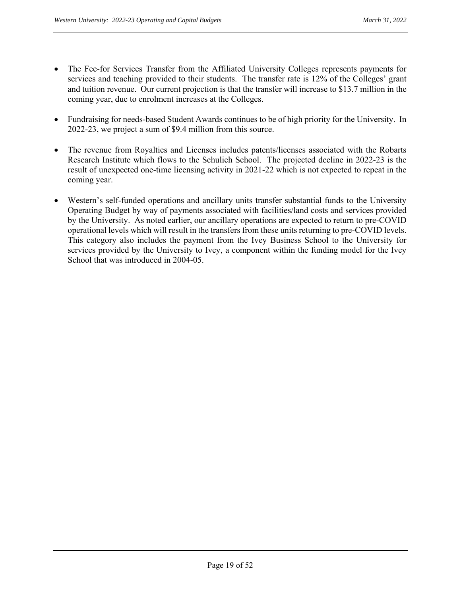- The Fee-for Services Transfer from the Affiliated University Colleges represents payments for services and teaching provided to their students. The transfer rate is 12% of the Colleges' grant and tuition revenue. Our current projection is that the transfer will increase to \$13.7 million in the coming year, due to enrolment increases at the Colleges.
- Fundraising for needs-based Student Awards continues to be of high priority for the University. In 2022-23, we project a sum of \$9.4 million from this source.
- The revenue from Royalties and Licenses includes patents/licenses associated with the Robarts Research Institute which flows to the Schulich School. The projected decline in 2022-23 is the result of unexpected one-time licensing activity in 2021-22 which is not expected to repeat in the coming year.
- Western's self-funded operations and ancillary units transfer substantial funds to the University Operating Budget by way of payments associated with facilities/land costs and services provided by the University. As noted earlier, our ancillary operations are expected to return to pre-COVID operational levels which will result in the transfers from these units returning to pre-COVID levels. This category also includes the payment from the Ivey Business School to the University for services provided by the University to Ivey, a component within the funding model for the Ivey School that was introduced in 2004-05.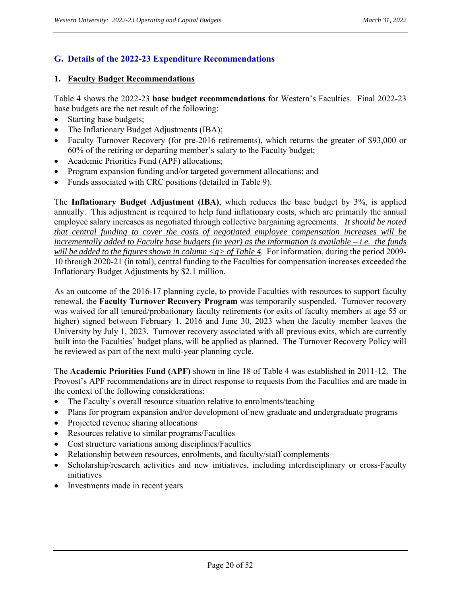# **G. Details of the 2022-23 Expenditure Recommendations**

#### **1. Faculty Budget Recommendations**

Table 4 shows the 2022-23 **base budget recommendations** for Western's Faculties. Final 2022-23 base budgets are the net result of the following:

- Starting base budgets;
- The Inflationary Budget Adjustments (IBA);
- Faculty Turnover Recovery (for pre-2016 retirements), which returns the greater of \$93,000 or 60% of the retiring or departing member's salary to the Faculty budget;
- Academic Priorities Fund (APF) allocations;
- Program expansion funding and/or targeted government allocations; and
- Funds associated with CRC positions (detailed in Table 9).

The **Inflationary Budget Adjustment (IBA)**, which reduces the base budget by 3%, is applied annually. This adjustment is required to help fund inflationary costs, which are primarily the annual employee salary increases as negotiated through collective bargaining agreements. *It should be noted that central funding to cover the costs of negotiated employee compensation increases will be incrementally added to Faculty base budgets (in year) as the information is available – i.e. the funds will be added to the figures shown in column <g> of Table 4.* For information, during the period 2009- 10 through 2020-21 (in total), central funding to the Faculties for compensation increases exceeded the Inflationary Budget Adjustments by \$2.1 million.

As an outcome of the 2016-17 planning cycle, to provide Faculties with resources to support faculty renewal, the **Faculty Turnover Recovery Program** was temporarily suspended. Turnover recovery was waived for all tenured/probationary faculty retirements (or exits of faculty members at age 55 or higher) signed between February 1, 2016 and June 30, 2023 when the faculty member leaves the University by July 1, 2023. Turnover recovery associated with all previous exits, which are currently built into the Faculties' budget plans, will be applied as planned. The Turnover Recovery Policy will be reviewed as part of the next multi-year planning cycle.

The **Academic Priorities Fund (APF)** shown in line 18 of Table 4 was established in 2011-12. The Provost's APF recommendations are in direct response to requests from the Faculties and are made in the context of the following considerations:

- The Faculty's overall resource situation relative to enrolments/teaching
- Plans for program expansion and/or development of new graduate and undergraduate programs
- Projected revenue sharing allocations
- Resources relative to similar programs/Faculties
- Cost structure variations among disciplines/Faculties
- Relationship between resources, enrolments, and faculty/staff complements
- Scholarship/research activities and new initiatives, including interdisciplinary or cross-Faculty initiatives
- Investments made in recent years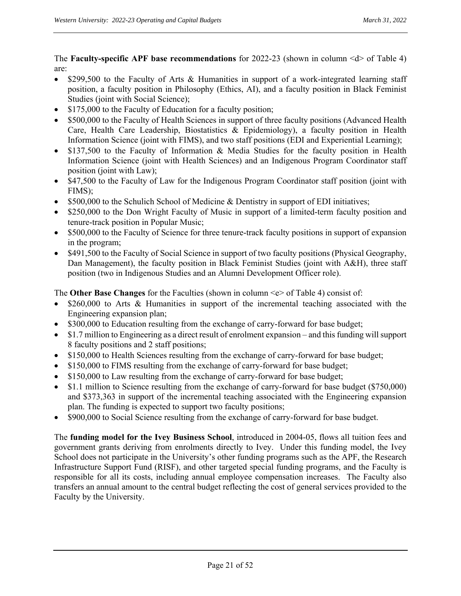The **Faculty-specific APF base recommendations** for 2022-23 (shown in column <d> of Table 4) are:

- \$299,500 to the Faculty of Arts & Humanities in support of a work-integrated learning staff position, a faculty position in Philosophy (Ethics, AI), and a faculty position in Black Feminist Studies (joint with Social Science);
- \$175,000 to the Faculty of Education for a faculty position;
- \$500,000 to the Faculty of Health Sciences in support of three faculty positions (Advanced Health Care, Health Care Leadership, Biostatistics & Epidemiology), a faculty position in Health Information Science (joint with FIMS), and two staff positions (EDI and Experiential Learning);
- \$137,500 to the Faculty of Information & Media Studies for the faculty position in Health Information Science (joint with Health Sciences) and an Indigenous Program Coordinator staff position (joint with Law);
- \$47,500 to the Faculty of Law for the Indigenous Program Coordinator staff position (joint with FIMS);
- \$500,000 to the Schulich School of Medicine & Dentistry in support of EDI initiatives;
- \$250,000 to the Don Wright Faculty of Music in support of a limited-term faculty position and tenure-track position in Popular Music;
- \$500,000 to the Faculty of Science for three tenure-track faculty positions in support of expansion in the program;
- \$491,500 to the Faculty of Social Science in support of two faculty positions (Physical Geography, Dan Management), the faculty position in Black Feminist Studies (joint with A&H), three staff position (two in Indigenous Studies and an Alumni Development Officer role).

The **Other Base Changes** for the Faculties (shown in column <e> of Table 4) consist of:

- \$260,000 to Arts & Humanities in support of the incremental teaching associated with the Engineering expansion plan;
- \$300,000 to Education resulting from the exchange of carry-forward for base budget;
- \$1.7 million to Engineering as a direct result of enrolment expansion and this funding will support 8 faculty positions and 2 staff positions;
- \$150,000 to Health Sciences resulting from the exchange of carry-forward for base budget;
- \$150,000 to FIMS resulting from the exchange of carry-forward for base budget;
- \$150,000 to Law resulting from the exchange of carry-forward for base budget;
- \$1.1 million to Science resulting from the exchange of carry-forward for base budget (\$750,000) and \$373,363 in support of the incremental teaching associated with the Engineering expansion plan. The funding is expected to support two faculty positions;
- \$900,000 to Social Science resulting from the exchange of carry-forward for base budget.

The **funding model for the Ivey Business School**, introduced in 2004-05, flows all tuition fees and government grants deriving from enrolments directly to Ivey. Under this funding model, the Ivey School does not participate in the University's other funding programs such as the APF, the Research Infrastructure Support Fund (RISF), and other targeted special funding programs, and the Faculty is responsible for all its costs, including annual employee compensation increases. The Faculty also transfers an annual amount to the central budget reflecting the cost of general services provided to the Faculty by the University.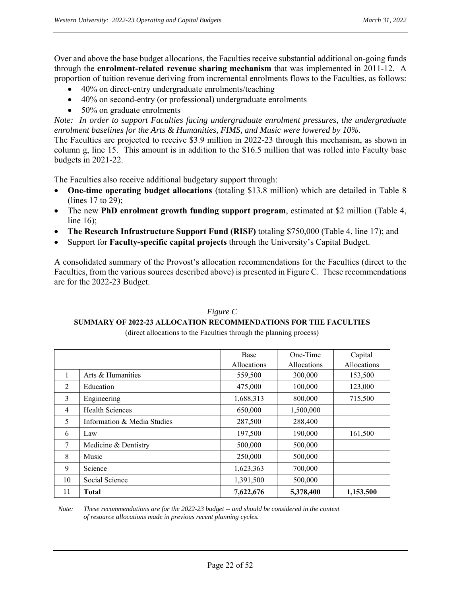Over and above the base budget allocations, the Faculties receive substantial additional on-going funds through the **enrolment-related revenue sharing mechanism** that was implemented in 2011-12. A proportion of tuition revenue deriving from incremental enrolments flows to the Faculties, as follows:

- 40% on direct-entry undergraduate enrolments/teaching
- 40% on second-entry (or professional) undergraduate enrolments
- 50% on graduate enrolments

*Note: In order to support Faculties facing undergraduate enrolment pressures, the undergraduate enrolment baselines for the Arts & Humanities, FIMS, and Music were lowered by 10%.* 

The Faculties are projected to receive \$3.9 million in 2022-23 through this mechanism, as shown in column g, line 15. This amount is in addition to the \$16.5 million that was rolled into Faculty base budgets in 2021-22.

The Faculties also receive additional budgetary support through:

- **One-time operating budget allocations** (totaling \$13.8 million) which are detailed in Table 8 (lines 17 to 29);
- The new **PhD enrolment growth funding support program**, estimated at \$2 million (Table 4, line 16);
- **The Research Infrastructure Support Fund (RISF)** totaling \$750,000 (Table 4, line 17); and
- Support for **Faculty-specific capital projects** through the University's Capital Budget.

A consolidated summary of the Provost's allocation recommendations for the Faculties (direct to the Faculties, from the various sources described above) is presented in Figure C. These recommendations are for the 2022-23 Budget.

# *Figure C*  **SUMMARY OF 2022-23 ALLOCATION RECOMMENDATIONS FOR THE FACULTIES**

(direct allocations to the Faculties through the planning process)

|                |                             | <b>Base</b> | One-Time           | Capital     |
|----------------|-----------------------------|-------------|--------------------|-------------|
|                |                             | Allocations | <b>Allocations</b> | Allocations |
| 1              | Arts & Humanities           | 559,500     | 300,000            | 153,500     |
| 2              | Education                   | 475,000     | 100,000            | 123,000     |
| $\mathbf{3}$   | Engineering                 | 1,688,313   | 800,000            | 715,500     |
| $\overline{4}$ | <b>Health Sciences</b>      | 650,000     | 1,500,000          |             |
| 5              | Information & Media Studies | 287,500     | 288,400            |             |
| 6              | Law                         | 197,500     | 190,000            | 161,500     |
| 7              | Medicine & Dentistry        | 500,000     | 500,000            |             |
| 8              | Music                       | 250,000     | 500,000            |             |
| 9              | Science                     | 1,623,363   | 700,000            |             |
| 10             | Social Science              | 1,391,500   | 500,000            |             |
| 11             | <b>Total</b>                | 7,622,676   | 5,378,400          | 1,153,500   |

 *Note: These recommendations are for the 2022-23 budget -- and should be considered in the context of resource allocations made in previous recent planning cycles.*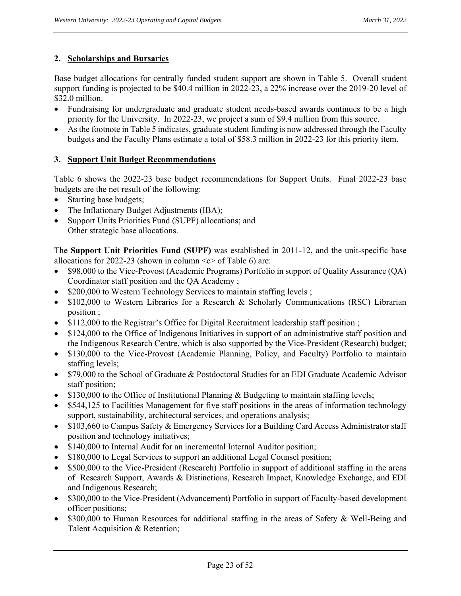## **2. Scholarships and Bursaries**

Base budget allocations for centrally funded student support are shown in Table 5. Overall student support funding is projected to be \$40.4 million in 2022-23, a 22% increase over the 2019-20 level of \$32.0 million.

- Fundraising for undergraduate and graduate student needs-based awards continues to be a high priority for the University. In 2022-23, we project a sum of \$9.4 million from this source.
- As the footnote in Table 5 indicates, graduate student funding is now addressed through the Faculty budgets and the Faculty Plans estimate a total of \$58.3 million in 2022-23 for this priority item.

# **3. Support Unit Budget Recommendations**

Table 6 shows the 2022-23 base budget recommendations for Support Units. Final 2022-23 base budgets are the net result of the following:

- Starting base budgets;
- The Inflationary Budget Adjustments (IBA);
- Support Units Priorities Fund (SUPF) allocations; and Other strategic base allocations.

The **Support Unit Priorities Fund (SUPF)** was established in 2011-12, and the unit-specific base allocations for 2022-23 (shown in column  $\lt c$  of Table 6) are:

- \$98,000 to the Vice-Provost (Academic Programs) Portfolio in support of Quality Assurance (QA) Coordinator staff position and the QA Academy ;
- \$200,000 to Western Technology Services to maintain staffing levels;
- \$102,000 to Western Libraries for a Research & Scholarly Communications (RSC) Librarian position ;
- \$112,000 to the Registrar's Office for Digital Recruitment leadership staff position;
- \$124,000 to the Office of Indigenous Initiatives in support of an administrative staff position and the Indigenous Research Centre, which is also supported by the Vice-President (Research) budget;
- \$130,000 to the Vice-Provost (Academic Planning, Policy, and Faculty) Portfolio to maintain staffing levels;
- \$79,000 to the School of Graduate & Postdoctoral Studies for an EDI Graduate Academic Advisor staff position;
- \$130,000 to the Office of Institutional Planning & Budgeting to maintain staffing levels;
- \$544,125 to Facilities Management for five staff positions in the areas of information technology support, sustainability, architectural services, and operations analysis;
- \$103,660 to Campus Safety & Emergency Services for a Building Card Access Administrator staff position and technology initiatives;
- \$140,000 to Internal Audit for an incremental Internal Auditor position;
- \$180,000 to Legal Services to support an additional Legal Counsel position;
- \$500,000 to the Vice-President (Research) Portfolio in support of additional staffing in the areas of Research Support, Awards & Distinctions, Research Impact, Knowledge Exchange, and EDI and Indigenous Research;
- \$300,000 to the Vice-President (Advancement) Portfolio in support of Faculty-based development officer positions;
- \$300,000 to Human Resources for additional staffing in the areas of Safety & Well-Being and Talent Acquisition & Retention;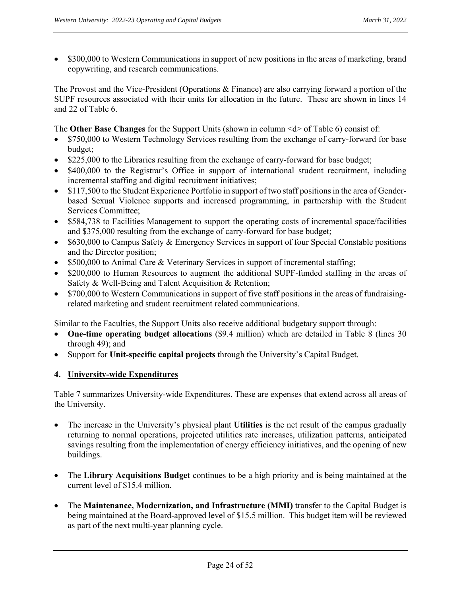• \$300,000 to Western Communications in support of new positions in the areas of marketing, brand copywriting, and research communications.

The Provost and the Vice-President (Operations & Finance) are also carrying forward a portion of the SUPF resources associated with their units for allocation in the future. These are shown in lines 14 and 22 of Table 6.

The **Other Base Changes** for the Support Units (shown in column <d> of Table 6) consist of:

- \$750,000 to Western Technology Services resulting from the exchange of carry-forward for base budget;
- \$225,000 to the Libraries resulting from the exchange of carry-forward for base budget;
- \$400,000 to the Registrar's Office in support of international student recruitment, including incremental staffing and digital recruitment initiatives;
- \$117,500 to the Student Experience Portfolio in support of two staff positions in the area of Genderbased Sexual Violence supports and increased programming, in partnership with the Student Services Committee;
- \$584,738 to Facilities Management to support the operating costs of incremental space/facilities and \$375,000 resulting from the exchange of carry-forward for base budget;
- \$630,000 to Campus Safety & Emergency Services in support of four Special Constable positions and the Director position;
- \$500,000 to Animal Care & Veterinary Services in support of incremental staffing;
- \$200,000 to Human Resources to augment the additional SUPF-funded staffing in the areas of Safety & Well-Being and Talent Acquisition & Retention;
- \$700,000 to Western Communications in support of five staff positions in the areas of fundraisingrelated marketing and student recruitment related communications.

Similar to the Faculties, the Support Units also receive additional budgetary support through:

- **One-time operating budget allocations** (\$9.4 million) which are detailed in Table 8 (lines 30) through 49); and
- Support for **Unit-specific capital projects** through the University's Capital Budget.

#### **4. University-wide Expenditures**

Table 7 summarizes University-wide Expenditures. These are expenses that extend across all areas of the University.

- The increase in the University's physical plant **Utilities** is the net result of the campus gradually returning to normal operations, projected utilities rate increases, utilization patterns, anticipated savings resulting from the implementation of energy efficiency initiatives, and the opening of new buildings.
- The **Library Acquisitions Budget** continues to be a high priority and is being maintained at the current level of \$15.4 million.
- The **Maintenance, Modernization, and Infrastructure (MMI)** transfer to the Capital Budget is being maintained at the Board-approved level of \$15.5 million. This budget item will be reviewed as part of the next multi-year planning cycle.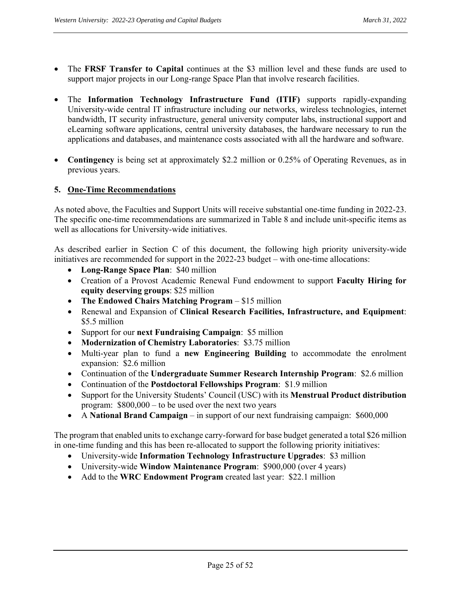- The **FRSF Transfer to Capital** continues at the \$3 million level and these funds are used to support major projects in our Long-range Space Plan that involve research facilities.
- The **Information Technology Infrastructure Fund (ITIF)** supports rapidly-expanding University-wide central IT infrastructure including our networks, wireless technologies, internet bandwidth, IT security infrastructure, general university computer labs, instructional support and eLearning software applications, central university databases, the hardware necessary to run the applications and databases, and maintenance costs associated with all the hardware and software.
- **Contingency** is being set at approximately \$2.2 million or 0.25% of Operating Revenues, as in previous years.

## **5. One-Time Recommendations**

As noted above, the Faculties and Support Units will receive substantial one-time funding in 2022-23. The specific one-time recommendations are summarized in Table 8 and include unit-specific items as well as allocations for University-wide initiatives.

As described earlier in Section C of this document, the following high priority university-wide initiatives are recommended for support in the 2022-23 budget – with one-time allocations:

- **Long-Range Space Plan**: \$40 million
- Creation of a Provost Academic Renewal Fund endowment to support **Faculty Hiring for equity deserving groups**: \$25 million
- **The Endowed Chairs Matching Program** \$15 million
- Renewal and Expansion of **Clinical Research Facilities, Infrastructure, and Equipment**: \$5.5 million
- Support for our **next Fundraising Campaign**: \$5 million
- **Modernization of Chemistry Laboratories**: \$3.75 million
- Multi-year plan to fund a **new Engineering Building** to accommodate the enrolment expansion: \$2.6 million
- Continuation of the **Undergraduate Summer Research Internship Program**: \$2.6 million
- Continuation of the **Postdoctoral Fellowships Program**: \$1.9 million
- Support for the University Students' Council (USC) with its **Menstrual Product distribution** program: \$800,000 – to be used over the next two years
- A **National Brand Campaign** in support of our next fundraising campaign: \$600,000

The program that enabled units to exchange carry-forward for base budget generated a total \$26 million in one-time funding and this has been re-allocated to support the following priority initiatives:

- University-wide **Information Technology Infrastructure Upgrades**: \$3 million
- University-wide **Window Maintenance Program**: \$900,000 (over 4 years)
- Add to the **WRC Endowment Program** created last year: \$22.1 million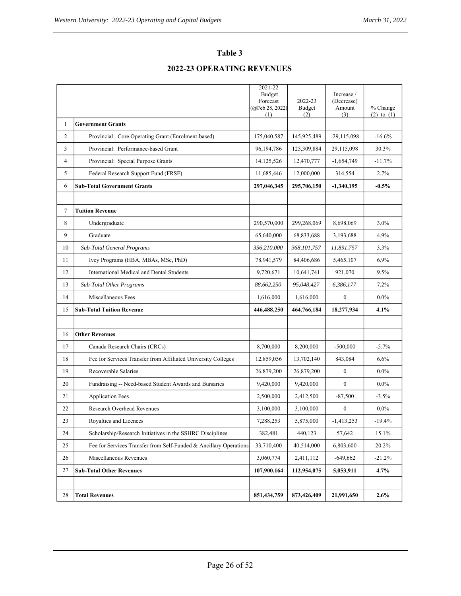# **Table 3**

# **2022-23 OPERATING REVENUES**

|                |                                                                   | 2021-22<br>Budget<br>Forecast | 2022-23       | Increase /<br>(Decrease) |                            |
|----------------|-------------------------------------------------------------------|-------------------------------|---------------|--------------------------|----------------------------|
|                |                                                                   | (QFeb 28, 2022)<br>(1)        | Budget<br>(2) | Amount<br>(3)            | % Change<br>$(2)$ to $(1)$ |
| $\mathbf{1}$   | <b>Government Grants</b>                                          |                               |               |                          |                            |
| 2              | Provincial: Core Operating Grant (Enrolment-based)                | 175,040,587                   | 145,925,489   | $-29,115,098$            | $-16.6%$                   |
| 3              | Provincial: Performance-based Grant                               | 96,194,786                    | 125,309,884   | 29,115,098               | 30.3%                      |
| $\overline{4}$ | Provincial: Special Purpose Grants                                | 14,125,526                    | 12,470,777    | $-1,654,749$             | $-11.7%$                   |
| 5              | Federal Research Support Fund (FRSF)                              | 11,685,446                    | 12,000,000    | 314,554                  | 2.7%                       |
| 6              | <b>Sub-Total Government Grants</b>                                | 297,046,345                   | 295,706,150   | -1,340,195               | $-0.5\%$                   |
|                |                                                                   |                               |               |                          |                            |
| $\tau$         | <b>Tuition Revenue</b>                                            |                               |               |                          |                            |
| 8              | Undergraduate                                                     | 290,570,000                   | 299,268,069   | 8,698,069                | 3.0%                       |
| 9              | Graduate                                                          | 65,640,000                    | 68,833,688    | 3,193,688                | 4.9%                       |
| 10             | Sub-Total General Programs                                        | 356,210,000                   | 368, 101, 757 | 11,891,757               | 3.3%                       |
| 11             | Ivey Programs (HBA, MBAs, MSc, PhD)                               | 78,941,579                    | 84,406,686    | 5,465,107                | 6.9%                       |
| 12             | International Medical and Dental Students                         | 9,720,671                     | 10,641,741    | 921,070                  | 9.5%                       |
| 13             | Sub-Total Other Programs                                          | 88,662,250                    | 95,048,427    | 6,386,177                | 7.2%                       |
| 14             | Miscellaneous Fees                                                | 1,616,000                     | 1,616,000     | $\mathbf{0}$             | $0.0\%$                    |
| 15             | <b>Sub-Total Tuition Revenue</b>                                  | 446,488,250                   | 464,766,184   | 18,277,934               | 4.1%                       |
|                |                                                                   |                               |               |                          |                            |
| 16             | <b>Other Revenues</b>                                             |                               |               |                          |                            |
| 17             | Canada Research Chairs (CRCs)                                     | 8,700,000                     | 8,200,000     | $-500,000$               | $-5.7\%$                   |
| 18             | Fee for Services Transfer from Affiliated University Colleges     | 12,859,056                    | 13,702,140    | 843,084                  | 6.6%                       |
| 19             | Recoverable Salaries                                              | 26,879,200                    | 26,879,200    | $\boldsymbol{0}$         | $0.0\%$                    |
| 20             | Fundraising -- Need-based Student Awards and Bursaries            | 9,420,000                     | 9,420,000     | $\mathbf{0}$             | $0.0\%$                    |
| 21             | <b>Application Fees</b>                                           | 2,500,000                     | 2,412,500     | $-87,500$                | $-3.5%$                    |
| 22             | <b>Research Overhead Revenues</b>                                 | 3,100,000                     | 3,100,000     | $\boldsymbol{0}$         | $0.0\%$                    |
| 23             | Royalties and Licences                                            | 7,288,253                     | 5,875,000     | $-1,413,253$             | -19.4%                     |
| 24             | Scholarship/Research Initiatives in the SSHRC Disciplines         | 382,481                       | 440,123       | 57,642                   | 15.1%                      |
| 25             | Fee for Services Transfer from Self-Funded & Ancillary Operations | 33,710,400                    | 40,514,000    | 6,803,600                | 20.2%                      |
| 26             | Miscellaneous Revenues                                            | 3,060,774                     | 2,411,112     | $-649,662$               | $-21.2\%$                  |
| 27             | <b>Sub-Total Other Revenues</b>                                   | 107,900,164                   | 112,954,075   | 5,053,911                | $4.7\%$                    |
|                |                                                                   |                               |               |                          |                            |
| 28             | <b>Total Revenues</b>                                             | 851,434,759                   | 873,426,409   | 21,991,650               | $2.6\%$                    |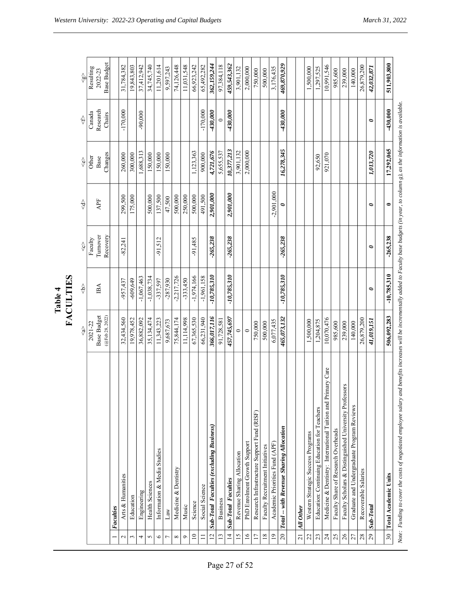|                 |                                                              |                        | <b>FACULTIES</b><br>Table 4       |                     |              |                  |                    |                      |
|-----------------|--------------------------------------------------------------|------------------------|-----------------------------------|---------------------|--------------|------------------|--------------------|----------------------|
|                 |                                                              | ş                      | $\frac{\triangle}{\triangledown}$ | $\hat{\mathcal{S}}$ | ╬            | $\hat{\diamond}$ | ↔                  | $\frac{5}{5}$        |
|                 |                                                              | Base Budget<br>2021-22 | $\mathbb B\mathbb A$              | Turnover<br>Faculty | APF          | Other<br>Base    | Research<br>Canada | Resulting<br>2022-23 |
|                 | Faculties                                                    | (@Feb 28, 2022)        |                                   | Recovery            |              | Changes          | Chairs             | <b>Base Budget</b>   |
| 2               | Arts & Humanities                                            | 32,434,560             | $-957,437$                        | $-82,241$           | 299,500      | 260,000          | $-170,000$         | 31,784,382           |
| 3               | Education                                                    | 19,978,452             | $-609,649$                        |                     | 175,000      | 300,000          |                    | 19,843,803           |
| 4               | Engineering                                                  | 36,882,092             | $-1,067,463$                      |                     |              | 1,688,313        | $-90,000$          | 37,412,942           |
| 5               | <b>Health Sciences</b>                                       | 35,134,474             | $-1,038,734$                      |                     | 500,000      | 150,000          |                    | 34,745,740           |
| $\circ$         | Information & Media Studies                                  | 11,343,223             | $-337,597$                        | $-91,512$           | 137,500      | 150,000          |                    | 11,201,614           |
| $\overline{ }$  | $_{\rm Law}$                                                 | 9,687,673              | $-287,930$                        |                     | 47,500       | 150,000          |                    | 9,597,243            |
| ${}^{\infty}$   | Medicine & Dentistry                                         | 75,844,174             | $-2,217,726$                      |                     | 500,000      |                  |                    | 74,126,448           |
| ç               | Music                                                        | 11,114,998             | $-333,450$                        |                     | 250,000      |                  |                    | 11,031,548           |
| $\approx$       | Science                                                      | 67,365,530             | $-1,974,166$                      | $-91,485$           | 500,000      | 1,123,363        |                    | 66,923,242           |
|                 | Social Science                                               | 66,231,940             | $-1,961,158$                      |                     | 491,500      | 900,000          | $-170,000$         | 65,492,282           |
| $\overline{12}$ | <b>Sub-Total Faculties (excluding Business)</b>              | 366,017,116            | $-10,785,310$                     | $-265,238$          | 2,901,000    | 4,721,676        | $-430,000$         | 362,159,244          |
| 13              | <b>Business</b>                                              | 91,728,581             |                                   |                     |              | 5,655,537        | $\circ$            | 97,384,118           |
| $\overline{4}$  | Sub-Total Faculties                                          | 457,745,697            | $-10,785,310$                     | $-265,238$          | 2,901,000    | 10,377,213       | $-430,000$         | 459,543,362          |
| 15              | Revenue Sharing Allocation                                   | $\circ$                |                                   |                     |              | 3,901,132        |                    | 3,901,132            |
| $\overline{16}$ | PhD Enrolment Growth Support                                 | $\circ$                |                                   |                     |              | 2,000,000        |                    | 2,000,000            |
| $\overline{17}$ | Research Infrastructure Support Fund (RISF)                  | 750,000                |                                   |                     |              |                  |                    | 750,000              |
| 18              | Faculty Recruitment Initiatives                              | 500,000                |                                   |                     |              |                  |                    | 500,000              |
| $\overline{19}$ | Academic Priorities Fund (APF)                               | 6,077,435              |                                   |                     | $-2,901,000$ |                  |                    | 3,176,435            |
| $\overline{c}$  | Total -- with Revenue Sharing Allocation                     | 465,073,132            | $-10,785,310$                     | $-265,238$          | $\bullet$    | 16,278,345       | $-430,000$         | 469,870,929          |
|                 |                                                              |                        |                                   |                     |              |                  |                    |                      |
| $\overline{21}$ | All Other                                                    |                        |                                   |                     |              |                  |                    |                      |
| 22              | Western Strategic Success Programs                           | 1,500,000              |                                   |                     |              |                  |                    | 1,500,000            |
| 23              | Education: Continuing Education for Teachers                 | 1,204,875              |                                   |                     |              | 92,650           |                    | 1,297,525            |
| $\overline{24}$ | Medicine & Dentistry: International Tuition and Primary Care | 10,070,476             |                                   |                     |              | 921,070          |                    | 10,991,546           |
| 25              | Faculty Share of Research Overheads                          | 985,600                |                                   |                     |              |                  |                    | 985,600              |
| 26              | Faculty Scholars & Distinguished University Professors       | 239,000                |                                   |                     |              |                  |                    | 239,000              |
| 27              | Graduate and Undergraduate Program Reviews                   | 140,000                |                                   |                     |              |                  |                    | 140,000              |
| 28              | Recoverable Salaries                                         | 26,879,200             |                                   |                     |              |                  |                    | 26,879,200           |
| 29              | Sub-Total                                                    | 41,019,151             | $\bullet$                         | $\bullet$           | $\bullet$    | 1,013,720        | $\bullet$          | 42,032,871           |
|                 |                                                              |                        |                                   |                     |              |                  |                    |                      |
|                 | 30 Total Academic Units                                      | 506,092,283            | $-10,785,310$                     | $-265,238$          | $\bullet$    | 17,292,065       | $-430,000$         | 511,903,800          |
|                 | $\overline{1}$                                               |                        | י<br>יינ                          |                     |              |                  | $(1 - L)$          |                      |

Note: Funding to cover the costs of negotiated employee salary and benefits increases will be incrementally added to Faculty base budgets (in year, to column g), as the information is available. *Note: Funding to cover the costs of negotiated employee salary and benefits increases will be incrementally added to Faculty base budgets (in year, to column g), as the information is available.*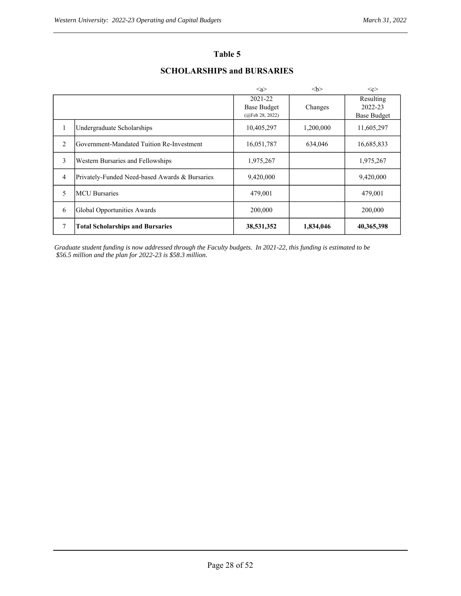## **Table 5**

# **SCHOLARSHIPS and BURSARIES**

|                |                                                | $\langle a \rangle$                              |           | < <c></c>                                  |
|----------------|------------------------------------------------|--------------------------------------------------|-----------|--------------------------------------------|
|                |                                                | 2021-22<br><b>Base Budget</b><br>(QFeb 28, 2022) | Changes   | Resulting<br>2022-23<br><b>Base Budget</b> |
| 1              | Undergraduate Scholarships                     | 10,405,297                                       | 1,200,000 | 11,605,297                                 |
| $\overline{2}$ | Government-Mandated Tuition Re-Investment      | 16,051,787                                       | 634,046   | 16,685,833                                 |
| 3              | Western Bursaries and Fellowships              | 1,975,267                                        |           | 1,975,267                                  |
| $\overline{4}$ | Privately-Funded Need-based Awards & Bursaries | 9,420,000                                        |           | 9,420,000                                  |
| 5              | <b>MCU</b> Bursaries                           | 479,001                                          |           | 479,001                                    |
| 6              | Global Opportunities Awards                    | 200,000                                          |           | 200,000                                    |
| 7              | <b>Total Scholarships and Bursaries</b>        | 38,531,352                                       | 1,834,046 | 40,365,398                                 |

*Graduate student funding is now addressed through the Faculty budgets. In 2021-22, this funding is estimated to be \$56.5 million and the plan for 2022-23 is \$58.3 million.*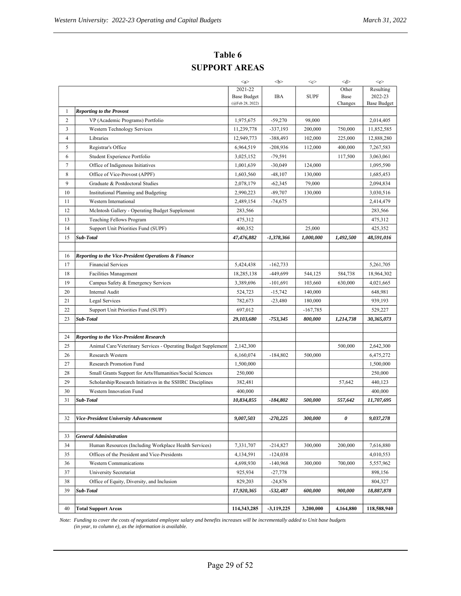| Table 6              |
|----------------------|
| <b>SUPPORT AREAS</b> |

|    | <b>SUPPORT AREAS</b>                                            |                                       |                          |                       |           |                        |
|----|-----------------------------------------------------------------|---------------------------------------|--------------------------|-----------------------|-----------|------------------------|
|    |                                                                 | <a></a>                               | $<$ b $>$                | $<$ c>                | <d></d>   | $\leq$ e>              |
|    |                                                                 | 2021-22                               |                          |                       | Other     | Resulting              |
|    |                                                                 | <b>Base Budget</b><br>(@Feb 28, 2022) | <b>IBA</b>               | <b>SUPF</b>           | Base      | 2022-23                |
| 1  | <b>Reporting to the Provost</b>                                 |                                       |                          |                       | Changes   | <b>Base Budget</b>     |
| 2  | VP (Academic Programs) Portfolio                                | 1,975,675                             | $-59,270$                | 98,000                |           | 2,014,405              |
| 3  | Western Technology Services                                     | 11,239,778                            | $-337,193$               | 200,000               | 750,000   | 11,852,585             |
| 4  | Libraries                                                       | 12,949,773                            | $-388,493$               | 102,000               | 225,000   | 12,888,280             |
| 5  | Registrar's Office                                              | 6,964,519                             | $-208,936$               | 112,000               | 400,000   | 7,267,583              |
| 6  | Student Experience Portfolio                                    | 3,025,152                             | $-79,591$                |                       | 117,500   | 3,063,061              |
| 7  | Office of Indigenous Initiatives                                | 1,001,639                             | $-30,049$                | 124,000               |           | 1,095,590              |
| 8  | Office of Vice-Provost (APPF)                                   | 1,603,560                             | $-48,107$                | 130,000               |           | 1,685,453              |
| 9  | Graduate & Postdoctoral Studies                                 | 2,078,179                             | $-62,345$                | 79,000                |           | 2,094,834              |
| 10 | Institutional Planning and Budgeting                            | 2,990,223                             | $-89,707$                | 130,000               |           | 3,030,516              |
| 11 | Western International                                           | 2,489,154                             | $-74,675$                |                       |           | 2,414,479              |
| 12 | McIntosh Gallery - Operating Budget Supplement                  | 283,566                               |                          |                       |           | 283,566                |
| 13 | <b>Teaching Fellows Program</b>                                 | 475,312                               |                          |                       |           | 475,312                |
| 14 | Support Unit Priorities Fund (SUPF)                             | 400,352                               |                          | 25,000                |           | 425,352                |
| 15 | Sub-Total                                                       | 47,476,882                            | $-1,378,366$             | 1,000,000             | 1,492,500 | 48,591,016             |
|    |                                                                 |                                       |                          |                       |           |                        |
| 16 | <b>Reporting to the Vice-President Operations &amp; Finance</b> |                                       |                          |                       |           |                        |
| 17 | <b>Financial Services</b>                                       | 5,424,438                             | $-162,733$               |                       |           | 5,261,705              |
| 18 | <b>Facilities Management</b>                                    | 18,285,138                            | -449,699                 | 544,125               | 584,738   | 18,964,302             |
| 19 | Campus Safety & Emergency Services                              | 3,389,696                             | $-101,691$               | 103,660               | 630,000   | 4,021,665              |
| 20 | Internal Audit                                                  | 524,723                               | $-15,742$                | 140,000               |           | 648,981                |
| 21 | Legal Services                                                  | 782,673                               | $-23,480$                | 180,000               |           | 939,193                |
| 22 | Support Unit Priorities Fund (SUPF)                             | 697,012                               |                          | $-167,785$            |           | 529,227                |
| 23 | Sub-Total                                                       | 29,103,680                            | $-753,345$               | 800,000               | 1,214,738 | 30,365,073             |
|    |                                                                 |                                       |                          |                       |           |                        |
| 24 | <b>Reporting to the Vice-President Research</b>                 |                                       |                          |                       |           |                        |
| 25 | Animal Care/Veterinary Services - Operating Budget Supplement   | 2,142,300                             |                          |                       | 500,000   | 2,642,300              |
| 26 | Research Western                                                | 6,160,074                             | $-184,802$               | 500,000               |           | 6,475,272              |
| 27 | Research Promotion Fund                                         | 1,500,000                             |                          |                       |           | 1,500,000              |
| 28 | Small Grants Support for Arts/Humanities/Social Sciences        | 250,000                               |                          |                       |           | 250,000                |
| 29 | Scholarship/Research Initiatives in the SSHRC Disciplines       | 382,481                               |                          |                       | 57,642    | 440,123                |
| 30 | Western Innovation Fund                                         | 400,000                               |                          |                       |           | 400,000                |
| 31 | Sub-Total                                                       | 10,834,855                            | $-184.802$               | <i><b>500.000</b></i> | 557,642   | 11.707.695             |
|    |                                                                 |                                       |                          |                       |           |                        |
| 32 | <b>Vice-President University Advancement</b>                    | 9,007,503                             | $-270,225$               | 300,000               | 0         | 9,037,278              |
| 33 | <b>General Administration</b>                                   |                                       |                          |                       |           |                        |
| 34 | Human Resources (Including Workplace Health Services)           |                                       |                          | 300,000               | 200,000   |                        |
| 35 | Offices of the President and Vice-Presidents                    | 7,331,707<br>4,134,591                | $-214,827$<br>$-124,038$ |                       |           | 7,616,880<br>4,010,553 |
| 36 | <b>Western Communications</b>                                   | 4,698,930                             | $-140,968$               | 300,000               | 700,000   | 5,557,962              |
| 37 | University Secretariat                                          | 925,934                               | $-27,778$                |                       |           | 898,156                |
| 38 | Office of Equity, Diversity, and Inclusion                      | 829,203                               | $-24,876$                |                       |           | 804,327                |
| 39 | Sub-Total                                                       | 17,920,365                            | $-532,487$               | 600,000               | 900,000   | 18,887,878             |
|    |                                                                 |                                       |                          |                       |           |                        |
| 40 | <b>Total Support Areas</b>                                      | 114,343,285                           | $-3,119,225$             | 3,200,000             | 4,164,880 | 118,588,940            |

*Note: Funding to cover the costs of negotiated employee salary and benefits increases will be incrementally added to Unit base budgets (in year, to column e), as the information is available.*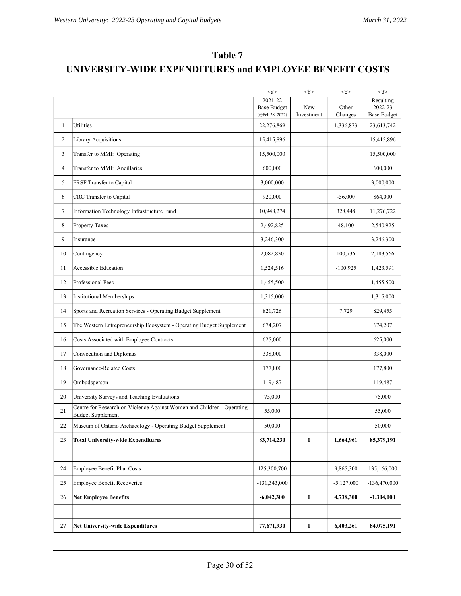# **Table 7 UNIVERSITY-WIDE EXPENDITURES and EMPLOYEE BENEFIT COSTS**

|                |                                                                                                    | $\langle a \rangle$                   |                   | $<$ c>           | d                             |
|----------------|----------------------------------------------------------------------------------------------------|---------------------------------------|-------------------|------------------|-------------------------------|
|                |                                                                                                    | 2021-22                               |                   |                  | Resulting                     |
|                |                                                                                                    | <b>Base Budget</b><br>(@Feb 28, 2022) | New<br>Investment | Other<br>Changes | 2022-23<br><b>Base Budget</b> |
| $\mathbf{1}$   | Utilities                                                                                          | 22,276,869                            |                   | 1,336,873        | 23,613,742                    |
| $\overline{2}$ | Library Acquisitions                                                                               | 15,415,896                            |                   |                  | 15,415,896                    |
| 3              | Transfer to MMI: Operating                                                                         | 15,500,000                            |                   |                  | 15,500,000                    |
| 4              | Transfer to MMI: Ancillaries                                                                       | 600,000                               |                   |                  | 600,000                       |
| 5              | FRSF Transfer to Capital                                                                           | 3,000,000                             |                   |                  | 3,000,000                     |
| 6              | CRC Transfer to Capital                                                                            | 920,000                               |                   | $-56,000$        | 864,000                       |
| $\tau$         | Information Technology Infrastructure Fund                                                         | 10,948,274                            |                   | 328,448          | 11,276,722                    |
| 8              | Property Taxes                                                                                     | 2,492,825                             |                   | 48,100           | 2,540,925                     |
| 9              | Insurance                                                                                          | 3,246,300                             |                   |                  | 3,246,300                     |
| 10             | Contingency                                                                                        | 2,082,830                             |                   | 100,736          | 2,183,566                     |
| 11             | <b>Accessible Education</b>                                                                        | 1,524,516                             |                   | $-100,925$       | 1,423,591                     |
| 12             | Professional Fees                                                                                  | 1,455,500                             |                   |                  | 1,455,500                     |
| 13             | <b>Institutional Memberships</b>                                                                   | 1,315,000                             |                   |                  | 1,315,000                     |
| 14             | Sports and Recreation Services - Operating Budget Supplement                                       | 821,726                               |                   | 7,729            | 829,455                       |
| 15             | The Western Entrepreneurship Ecosystem - Operating Budget Supplement                               | 674,207                               |                   |                  | 674,207                       |
| 16             | Costs Associated with Employee Contracts                                                           | 625,000                               |                   |                  | 625,000                       |
| 17             | Convocation and Diplomas                                                                           | 338,000                               |                   |                  | 338,000                       |
| 18             | Governance-Related Costs                                                                           | 177,800                               |                   |                  | 177,800                       |
| 19             | Ombudsperson                                                                                       | 119,487                               |                   |                  | 119,487                       |
| 20             | University Surveys and Teaching Evaluations                                                        | 75,000                                |                   |                  | 75,000                        |
| 21             | Centre for Research on Violence Against Women and Children - Operating<br><b>Budget Supplement</b> | 55,000                                |                   |                  | 55,000                        |
| 22             | Museum of Ontario Archaeology - Operating Budget Supplement                                        | 50,000                                |                   |                  | 50,000                        |
| 23             | <b>Total University-wide Expenditures</b>                                                          | 83,714,230                            | $\pmb{0}$         | 1,664,961        | 85,379,191                    |
|                |                                                                                                    |                                       |                   |                  |                               |
| 24             | Employee Benefit Plan Costs                                                                        | 125,300,700                           |                   | 9,865,300        | 135,166,000                   |
| 25             | <b>Employee Benefit Recoveries</b>                                                                 | $-131,343,000$                        |                   | $-5,127,000$     | $-136,470,000$                |
| 26             | <b>Net Employee Benefits</b>                                                                       | $-6,042,300$                          | $\pmb{0}$         | 4,738,300        | $-1,304,000$                  |
|                |                                                                                                    |                                       |                   |                  |                               |
| 27             | <b>Net University-wide Expenditures</b>                                                            | 77,671,930                            | $\pmb{0}$         | 6,403,261        | 84,075,191                    |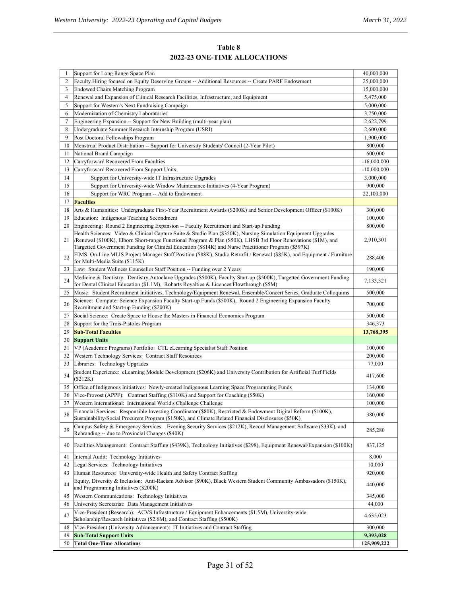## **Table 8 2022-23 ONE-TIME ALLOCATIONS**

|    | Support for Long Range Space Plan                                                                                                                                                                                                                                                                                                        | 40,000,000    |
|----|------------------------------------------------------------------------------------------------------------------------------------------------------------------------------------------------------------------------------------------------------------------------------------------------------------------------------------------|---------------|
| 2  | Faculty Hiring focused on Equity Deserving Groups -- Additional Resources -- Create PARF Endowment                                                                                                                                                                                                                                       | 25,000,000    |
| 3  | <b>Endowed Chairs Matching Program</b>                                                                                                                                                                                                                                                                                                   | 15,000,000    |
| 4  | Renewal and Expansion of Clinical Research Facilities, Infrastructure, and Equipment                                                                                                                                                                                                                                                     | 5,475,000     |
| 5  | Support for Western's Next Fundraising Campaign                                                                                                                                                                                                                                                                                          | 5,000,000     |
| 6  | Modernization of Chemistry Laboratories                                                                                                                                                                                                                                                                                                  | 3,750,000     |
| 7  | Engineering Expansion -- Support for New Building (multi-year plan)                                                                                                                                                                                                                                                                      | 2,622,799     |
| 8  | Undergraduate Summer Research Internship Program (USRI)                                                                                                                                                                                                                                                                                  | 2,600,000     |
| 9  | Post Doctoral Fellowships Program                                                                                                                                                                                                                                                                                                        | 1,900,000     |
| 10 | Menstrual Product Distribution -- Support for University Students' Council (2-Year Pilot)                                                                                                                                                                                                                                                | 800,000       |
| 11 | National Brand Campaign                                                                                                                                                                                                                                                                                                                  | 600,000       |
| 12 | Carryforward Recovered From Faculties                                                                                                                                                                                                                                                                                                    | $-16,000,000$ |
| 13 | Carryforward Recovered From Support Units                                                                                                                                                                                                                                                                                                | $-10,000,000$ |
| 14 | Support for University-wide IT Infrastructure Upgrades                                                                                                                                                                                                                                                                                   | 3,000,000     |
| 15 | Support for University-wide Window Maintenance Initiatives (4-Year Program)                                                                                                                                                                                                                                                              | 900,000       |
| 16 | Support for WRC Program -- Add to Endowment                                                                                                                                                                                                                                                                                              | 22,100,000    |
| 17 | <b>Faculties</b>                                                                                                                                                                                                                                                                                                                         |               |
| 18 | Arts & Humanities: Undergraduate First-Year Recruitment Awards (\$200K) and Senior Development Officer (\$100K)                                                                                                                                                                                                                          | 300,000       |
| 19 | Education: Indigenous Teaching Secondment                                                                                                                                                                                                                                                                                                | 100,000       |
| 20 | Engineering: Round 2 Engineering Expansion -- Faculty Recruitment and Start-up Funding                                                                                                                                                                                                                                                   | 800,000       |
| 21 | Health Sciences: Video & Clinical Capture Suite & Studio Plan (\$350K), Nursing Simulation Equipment Upgrades<br>/Renewal (\$100K), Elborn Short-range Functional Program & Plan (\$50K), LHSB 3rd Floor Renovations (\$1M), and<br>Targetted Government Funding for Clinical Education (\$814K) and Nurse Practitioner Program (\$597K) | 2,910,301     |
| 22 | FIMS: On-Line MLIS Project Manager Staff Position (\$88K), Studio Retrofit / Renewal (\$85K), and Equipment / Furniture<br>for Multi-Media Suite (\$115K)                                                                                                                                                                                | 288,400       |
| 23 | Law: Student Wellness Counsellor Staff Position -- Funding over 2 Years                                                                                                                                                                                                                                                                  | 190,000       |
| 24 | Medicine & Dentistry: Dentistry Autoclave Upgrades (\$500K), Faculty Start-up (\$500K), Targetted Government Funding<br>for Dental Clinical Education (\$1.1M), Robarts Royalties & Licences Flowthrough (\$5M)                                                                                                                          | 7,133,321     |
| 25 | Music: Student Recruitment Initiatives, Technology/Equipment Renewal, Ensemble/Concert Series, Graduate Colloquims                                                                                                                                                                                                                       | 500,000       |
|    | Science: Computer Science Expansion Faculty Start-up Funds (\$500K), Round 2 Engineering Expansion Faculty                                                                                                                                                                                                                               |               |
| 26 | Recruitment and Start-up Funding (\$200K)                                                                                                                                                                                                                                                                                                | 700,000       |
| 27 | Social Science: Create Space to House the Masters in Financial Economics Program                                                                                                                                                                                                                                                         | 500,000       |
| 28 | Support for the Trois-Pistoles Program                                                                                                                                                                                                                                                                                                   | 346,373       |
| 29 | <b>Sub-Total Faculties</b>                                                                                                                                                                                                                                                                                                               |               |
|    |                                                                                                                                                                                                                                                                                                                                          | 13,768,395    |
| 30 | <b>Support Units</b>                                                                                                                                                                                                                                                                                                                     |               |
| 31 | VP (Academic Programs) Portfolio: CTL eLearning Specialist Staff Position                                                                                                                                                                                                                                                                | 100,000       |
| 32 | Western Technology Services: Contract Staff Resources                                                                                                                                                                                                                                                                                    | 200,000       |
| 33 | Libraries: Technology Upgrades                                                                                                                                                                                                                                                                                                           | 77,000        |
| 34 | Student Experience: eLearning Module Development (\$206K) and University Contribution for Artificial Turf Fields<br>(\$212K)                                                                                                                                                                                                             | 417,600       |
| 35 | Office of Indigenous Initiatives: Newly-created Indigenous Learning Space Programming Funds                                                                                                                                                                                                                                              | 134,000       |
| 36 | Vice-Provost (APPF): Contract Staffing (\$110K) and Support for Coaching (\$50K)                                                                                                                                                                                                                                                         | 160,000       |
| 37 | Western International: International World's Challenge Challenge                                                                                                                                                                                                                                                                         | 100,000       |
| 38 | Financial Services: Responsible Investing Coordinator (\$80K), Restricted & Endowment Digital Reform (\$100K),<br>Sustainability/Social Procurent Program (\$150K), and Climate Related Financial Disclosures (\$50K)                                                                                                                    | 380,000       |
| 39 | Campus Safety & Emergency Services: Evening Security Services (\$212K), Record Management Software (\$33K), and<br>Rebranding -- due to Provincial Changes (\$40K)                                                                                                                                                                       | 285,280       |
| 40 | Facilities Management: Contract Staffing (\$439K), Technology Initiatives (\$298), Equipment Renewal/Expansion (\$100K)                                                                                                                                                                                                                  | 837,125       |
| 41 | Internal Audit: Technology Initiatives                                                                                                                                                                                                                                                                                                   | 8,000         |
| 42 | Legal Services: Technology Initiatives                                                                                                                                                                                                                                                                                                   | 10,000        |
| 43 | Human Resources: University-wide Health and Safety Contract Staffing                                                                                                                                                                                                                                                                     | 920,000       |
| 44 | Equity, Diversity & Inclusion: Anti-Racism Advisor (\$90K), Black Western Student Community Ambassadors (\$150K),<br>and Programming Initiatives (\$200K)                                                                                                                                                                                | 440,000       |
| 45 | Western Communications: Technology Initiatives                                                                                                                                                                                                                                                                                           | 345,000       |
| 46 | University Secretariat: Data Management Initiatives                                                                                                                                                                                                                                                                                      | 44,000        |
| 47 | Vice-President (Research): ACVS Infrastructure / Equipment Enhancements (\$1.5M), University-wide<br>Scholarship/Research Initiatives (\$2.6M), and Contract Staffing (\$500K)                                                                                                                                                           | 4,635,023     |
| 48 | Vice-President (University Advancement): IT Initiatives and Contract Staffing                                                                                                                                                                                                                                                            | 300,000       |
| 49 | <b>Sub-Total Support Units</b>                                                                                                                                                                                                                                                                                                           | 9,393,028     |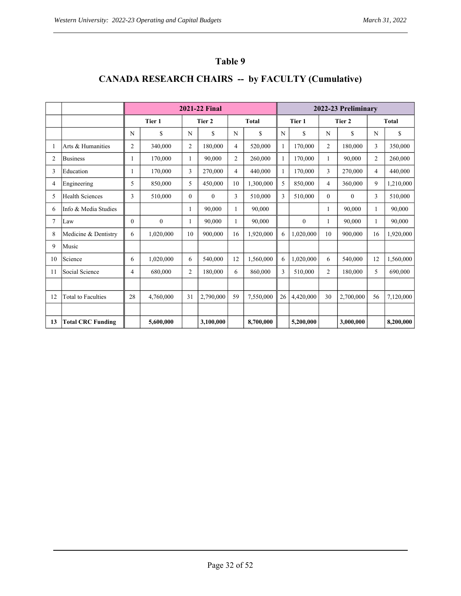# **Table 9**

# **CANADA RESEARCH CHAIRS -- by FACULTY (Cumulative)**

|    |                           |                | <b>2021-22 Final</b> |                |                        |                |           | 2022-23 Preliminary |              |                |              |                |           |
|----|---------------------------|----------------|----------------------|----------------|------------------------|----------------|-----------|---------------------|--------------|----------------|--------------|----------------|-----------|
|    |                           |                | Tier 1               |                | Tier 2<br><b>Total</b> |                | Tier 1    |                     | Tier 2       |                | <b>Total</b> |                |           |
|    |                           | N              | \$                   | N              | \$                     | N              | \$        | N                   | \$           | N              | \$           | N              | \$        |
|    | Arts & Humanities         | $\overline{2}$ | 340,000              | $\overline{2}$ | 180,000                | 4              | 520,000   | $\mathbf{1}$        | 170,000      | $\overline{2}$ | 180,000      | 3              | 350,000   |
| 2  | <b>Business</b>           | 1              | 170,000              | $\mathbf{1}$   | 90,000                 | $\overline{2}$ | 260,000   | $\mathbf{1}$        | 170,000      | $\mathbf{1}$   | 90,000       | $\overline{2}$ | 260,000   |
| 3  | Education                 |                | 170,000              | 3              | 270,000                | $\overline{4}$ | 440,000   | $\mathbf{1}$        | 170,000      | 3              | 270,000      | $\overline{4}$ | 440,000   |
| 4  | Engineering               | 5              | 850,000              | 5              | 450,000                | 10             | 1,300,000 | 5                   | 850,000      | 4              | 360,000      | 9              | 1,210,000 |
| 5  | <b>Health Sciences</b>    | 3              | 510,000              | $\theta$       | $\theta$               | 3              | 510,000   | 3                   | 510,000      | $\theta$       | $\theta$     | 3              | 510,000   |
| 6  | Info & Media Studies      |                |                      | 1              | 90,000                 | $\mathbf{1}$   | 90,000    |                     |              | 1              | 90,000       | 1              | 90,000    |
| 7  | Law                       | $\Omega$       | $\mathbf{0}$         | 1              | 90,000                 | 1              | 90,000    |                     | $\mathbf{0}$ | 1              | 90.000       |                | 90,000    |
| 8  | Medicine & Dentistry      | 6              | 1,020,000            | 10             | 900,000                | 16             | 1,920,000 | 6                   | 1.020.000    | 10             | 900,000      | 16             | 1.920.000 |
| 9  | Music                     |                |                      |                |                        |                |           |                     |              |                |              |                |           |
| 10 | Science                   | 6              | 1,020,000            | 6              | 540,000                | 12             | 1,560,000 | 6                   | 1,020,000    | 6              | 540,000      | 12             | 1,560,000 |
| 11 | Social Science            | 4              | 680,000              | $\overline{2}$ | 180,000                | 6              | 860,000   | 3                   | 510,000      | $\overline{c}$ | 180,000      | 5              | 690,000   |
|    |                           |                |                      |                |                        |                |           |                     |              |                |              |                |           |
| 12 | <b>Total to Faculties</b> | 28             | 4.760.000            | 31             | 2,790,000              | 59             | 7.550,000 | 26                  | 4.420,000    | 30             | 2,700,000    | 56             | 7,120,000 |
|    |                           |                |                      |                |                        |                |           |                     |              |                |              |                |           |
| 13 | <b>Total CRC Funding</b>  |                | 5,600,000            |                | 3.100.000              |                | 8,700,000 |                     | 5,200,000    |                | 3,000,000    |                | 8.200.000 |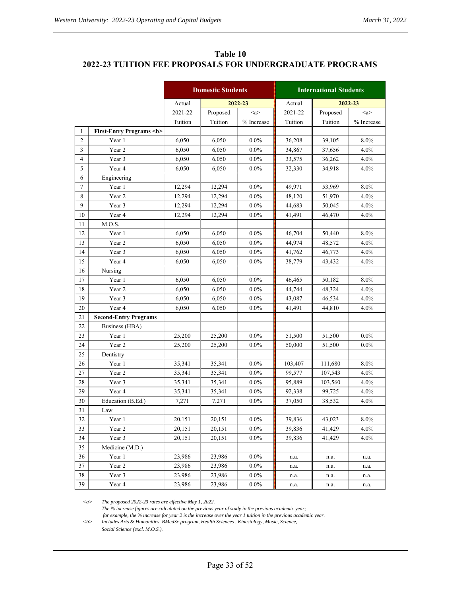| Table 10                                                 |
|----------------------------------------------------------|
| 2022-23 TUITION FEE PROPOSALS FOR UNDERGRADUATE PROGRAMS |

|                         |                                     | <b>Domestic Students</b> |          | <b>International Students</b> |         |          |                     |
|-------------------------|-------------------------------------|--------------------------|----------|-------------------------------|---------|----------|---------------------|
|                         |                                     | Actual                   |          | 2022-23                       | Actual  |          | 2022-23             |
|                         |                                     | 2021-22                  | Proposed | $\langle a \rangle$           | 2021-22 | Proposed | $\langle a \rangle$ |
|                         |                                     | Tuition                  | Tuition  | % Increase                    | Tuition | Tuition  | % Increase          |
| 1                       | <b>First-Entry Programs <b></b></b> |                          |          |                               |         |          |                     |
| $\mathbf{2}$            | Year 1                              | 6,050                    | 6,050    | $0.0\%$                       | 36,208  | 39,105   | 8.0%                |
| $\overline{\mathbf{3}}$ | Year 2                              | 6,050                    | 6,050    | $0.0\%$                       | 34,867  | 37,656   | 4.0%                |
| 4                       | Year 3                              | 6,050                    | 6,050    | $0.0\%$                       | 33,575  | 36,262   | $4.0\%$             |
| 5                       | Year 4                              | 6,050                    | 6,050    | $0.0\%$                       | 32,330  | 34,918   | $4.0\%$             |
| 6                       | Engineering                         |                          |          |                               |         |          |                     |
| $\tau$                  | Year 1                              | 12,294                   | 12,294   | $0.0\%$                       | 49,971  | 53,969   | 8.0%                |
| 8                       | Year 2                              | 12,294                   | 12,294   | $0.0\%$                       | 48,120  | 51,970   | 4.0%                |
| 9                       | Year 3                              | 12,294                   | 12,294   | $0.0\%$                       | 44,683  | 50,045   | 4.0%                |
| 10                      | Year 4                              | 12,294                   | 12,294   | $0.0\%$                       | 41,491  | 46,470   | $4.0\%$             |
| 11                      | M.O.S.                              |                          |          |                               |         |          |                     |
| 12                      | Year 1                              | 6,050                    | 6,050    | $0.0\%$                       | 46,704  | 50,440   | 8.0%                |
| 13                      | Year 2                              | 6,050                    | 6,050    | $0.0\%$                       | 44,974  | 48,572   | $4.0\%$             |
| 14                      | Year 3                              | 6,050                    | 6,050    | $0.0\%$                       | 41,762  | 46,773   | 4.0%                |
| 15                      | Year 4                              | 6,050                    | 6,050    | $0.0\%$                       | 38,779  | 43,432   | 4.0%                |
| 16                      | Nursing                             |                          |          |                               |         |          |                     |
| 17                      | Year 1                              | 6,050                    | 6,050    | $0.0\%$                       | 46,465  | 50,182   | 8.0%                |
| 18                      | Year 2                              | 6,050                    | 6,050    | $0.0\%$                       | 44,744  | 48,324   | $4.0\%$             |
| 19                      | Year 3                              | 6,050                    | 6,050    | $0.0\%$                       | 43,087  | 46,534   | 4.0%                |
| 20                      | Year 4                              | 6,050                    | 6,050    | $0.0\%$                       | 41,491  | 44,810   | 4.0%                |
| 21                      | <b>Second-Entry Programs</b>        |                          |          |                               |         |          |                     |
| 22                      | Business (HBA)                      |                          |          |                               |         |          |                     |
| 23                      | Year 1                              | 25,200                   | 25,200   | $0.0\%$                       | 51,500  | 51,500   | $0.0\%$             |
| 24                      | Year 2                              | 25,200                   | 25,200   | $0.0\%$                       | 50,000  | 51,500   | $0.0\%$             |
| 25                      | Dentistry                           |                          |          |                               |         |          |                     |
| 26                      | Year 1                              | 35,341                   | 35,341   | $0.0\%$                       | 103,407 | 111,680  | 8.0%                |
| 27                      | Year 2                              | 35,341                   | 35,341   | $0.0\%$                       | 99,577  | 107,543  | 4.0%                |
| 28                      | Year 3                              | 35,341                   | 35,341   | $0.0\%$                       | 95,889  | 103,560  | 4.0%                |
| 29                      | Year 4                              | 35,341                   | 35,341   | $0.0\%$                       | 92,338  | 99,725   | 4.0%                |
| 30                      | Education (B.Ed.)                   | 7,271                    | 7,271    | $0.0\%$                       | 37,050  | 38,532   | 4.0%                |
| 31                      | Law                                 |                          |          |                               |         |          |                     |
| 32                      | Year 1                              | 20,151                   | 20,151   | $0.0\%$                       | 39,836  | 43,023   | $8.0\%$             |
| 33                      | Year 2                              | 20,151                   | 20,151   | $0.0\%$                       | 39,836  | 41,429   | $4.0\%$             |
| 34                      | Year 3                              | 20,151                   | 20.151   | $0.0\%$                       | 39,836  | 41.429   | 4.0%                |
| 35                      | Medicine (M.D.)                     |                          |          |                               |         |          |                     |
| 36                      | Year 1                              | 23,986                   | 23,986   | $0.0\%$                       | n.a.    | n.a.     | n.a.                |
| 37                      | Year 2                              | 23,986                   | 23,986   | $0.0\%$                       | n.a.    | n.a.     | n.a.                |
| 38                      | Year 3                              | 23,986                   | 23,986   | $0.0\%$                       | n.a.    | n.a.     | n.a.                |
| 39                      | Year 4                              | 23,986                   | 23,986   | $0.0\%$                       | n.a.    | n.a.     | n.a.                |

*<a> The proposed 2022-23 rates are effective May 1, 2022.* 

*The % increase figures are calculated on the previous year of study in the previous academic year;* 

 *for example, the % increase for year 2 is the increase over the year 1 tuition in the previous academic year. <b> Includes Arts & Humanities, BMedSc program, Health Sciences , Kinesiology, Music, Science,*

*Social Science (excl. M.O.S.).*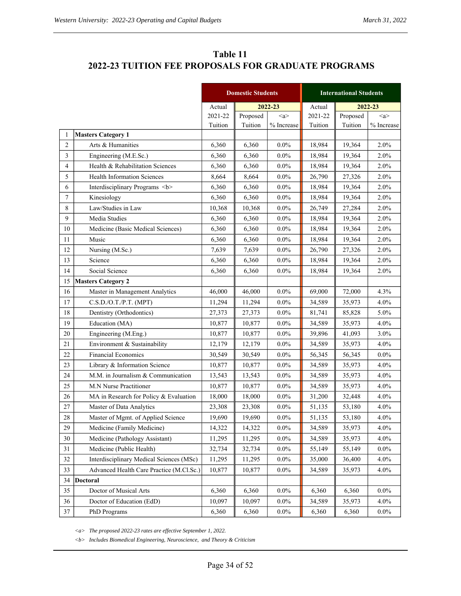# **Table 11 2022-23 TUITION FEE PROPOSALS FOR GRADUATE PROGRAMS**

|                |                                          |         | <b>Domestic Students</b> |                     | <b>International Students</b> |          |                     |  |
|----------------|------------------------------------------|---------|--------------------------|---------------------|-------------------------------|----------|---------------------|--|
|                |                                          | Actual  | 2022-23                  |                     | Actual                        |          | 2022-23             |  |
|                |                                          | 2021-22 | Proposed                 | $\langle a \rangle$ | 2021-22                       | Proposed | $\langle a \rangle$ |  |
|                |                                          | Tuition | Tuition                  | $\%$ Increase       | Tuition                       | Tuition  | % Increase          |  |
| 1              | <b>Masters Category 1</b>                |         |                          |                     |                               |          |                     |  |
| $\overline{2}$ | Arts & Humanities                        | 6,360   | 6,360                    | $0.0\%$             | 18,984                        | 19,364   | 2.0%                |  |
| 3              | Engineering (M.E.Sc.)                    | 6,360   | 6,360                    | $0.0\%$             | 18,984                        | 19,364   | 2.0%                |  |
| $\overline{4}$ | Health & Rehabilitation Sciences         | 6,360   | 6,360                    | $0.0\%$             | 18,984                        | 19,364   | 2.0%                |  |
| 5              | <b>Health Information Sciences</b>       | 8,664   | 8,664                    | $0.0\%$             | 26,790                        | 27,326   | 2.0%                |  |
| 6              | Interdisciplinary Programs <b></b>       | 6,360   | 6,360                    | $0.0\%$             | 18,984                        | 19,364   | 2.0%                |  |
| 7              | Kinesiology                              | 6,360   | 6,360                    | $0.0\%$             | 18,984                        | 19,364   | 2.0%                |  |
| 8              | Law/Studies in Law                       | 10,368  | 10,368                   | $0.0\%$             | 26,749                        | 27,284   | 2.0%                |  |
| 9              | Media Studies                            | 6,360   | 6,360                    | $0.0\%$             | 18,984                        | 19,364   | 2.0%                |  |
| 10             | Medicine (Basic Medical Sciences)        | 6,360   | 6,360                    | $0.0\%$             | 18,984                        | 19,364   | 2.0%                |  |
| 11             | Music                                    | 6,360   | 6,360                    | $0.0\%$             | 18,984                        | 19,364   | 2.0%                |  |
| 12             | Nursing (M.Sc.)                          | 7,639   | 7,639                    | $0.0\%$             | 26,790                        | 27,326   | 2.0%                |  |
| 13             | Science                                  | 6,360   | 6,360                    | $0.0\%$             | 18,984                        | 19,364   | 2.0%                |  |
| 14             | Social Science                           | 6,360   | 6,360                    | $0.0\%$             | 18,984                        | 19,364   | 2.0%                |  |
| 15             | <b>Masters Category 2</b>                |         |                          |                     |                               |          |                     |  |
| 16             | Master in Management Analytics           | 46,000  | 46,000                   | $0.0\%$             | 69,000                        | 72,000   | 4.3%                |  |
| 17             | C.S.D./O.T./P.T. (MPT)                   | 11,294  | 11,294                   | $0.0\%$             | 34,589                        | 35,973   | 4.0%                |  |
| $18\,$         | Dentistry (Orthodontics)                 | 27,373  | 27,373                   | $0.0\%$             | 81,741                        | 85,828   | 5.0%                |  |
| 19             | Education (MA)                           | 10,877  | 10,877                   | $0.0\%$             | 34,589                        | 35,973   | 4.0%                |  |
| 20             | Engineering (M.Eng.)                     | 10,877  | 10,877                   | $0.0\%$             | 39,896                        | 41,093   | 3.0%                |  |
| 21             | Environment & Sustainability             | 12,179  | 12,179                   | $0.0\%$             | 34,589                        | 35,973   | 4.0%                |  |
| 22             | <b>Financial Economics</b>               | 30,549  | 30,549                   | $0.0\%$             | 56,345                        | 56,345   | $0.0\%$             |  |
| 23             | Library & Information Science            | 10,877  | 10,877                   | $0.0\%$             | 34,589                        | 35,973   | 4.0%                |  |
| 24             | M.M. in Journalism & Communication       | 13,543  | 13,543                   | $0.0\%$             | 34,589                        | 35,973   | 4.0%                |  |
| 25             | M.N Nurse Practitioner                   | 10,877  | 10,877                   | $0.0\%$             | 34,589                        | 35,973   | 4.0%                |  |
| 26             | MA in Research for Policy & Evaluation   | 18,000  | 18,000                   | $0.0\%$             | 31,200                        | 32,448   | 4.0%                |  |
| $27\,$         | Master of Data Analytics                 | 23,308  | 23,308                   | $0.0\%$             | 51,135                        | 53,180   | 4.0%                |  |
| $28\,$         | Master of Mgmt. of Applied Science       | 19,690  | 19,690                   | $0.0\%$             | 51,135                        | 53,180   | 4.0%                |  |
| 29             | Medicine (Family Medicine)               | 14,322  | 14,322                   | $0.0\%$             | 34,589                        | 35,973   | 4.0%                |  |
| 30             | Medicine (Pathology Assistant)           | 11,295  | 11,295                   | $0.0\%$             | 34,589                        | 35,973   | 4.0%                |  |
| 31             | Medicine (Public Health)                 | 32,734  | 32,734                   | $0.0\%$             | 55,149                        | 55,149   | $0.0\%$             |  |
| 32             | Interdisciplinary Medical Sciences (MSc) | 11,295  | 11,295                   | $0.0\%$             | 35,000                        | 36,400   | 4.0%                |  |
| 33             | Advanced Health Care Practice (M.Cl.Sc.) | 10,877  | 10,877                   | $0.0\%$             | 34,589                        | 35,973   | 4.0%                |  |
| 34             | <b>Doctoral</b>                          |         |                          |                     |                               |          |                     |  |
| 35             | Doctor of Musical Arts                   | 6,360   | 6,360                    | $0.0\%$             | 6,360                         | 6,360    | $0.0\%$             |  |
| 36             | Doctor of Education (EdD)                | 10,097  | 10,097                   | $0.0\%$             | 34,589                        | 35,973   | 4.0%                |  |
| 37             | PhD Programs                             | 6,360   | 6,360                    | $0.0\%$             | 6,360                         | 6,360    | $0.0\%$             |  |

*<a> The proposed 2022-23 rates are effective September 1, 2022.* 

*<b> Includes Biomedical Engineering, Neuroscience, and Theory & Criticism*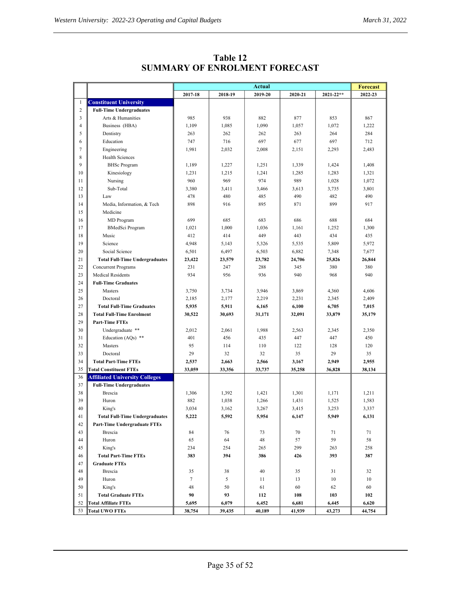|                |                                       | <b>Actual</b> |         |         |         |               |         |
|----------------|---------------------------------------|---------------|---------|---------|---------|---------------|---------|
|                |                                       | 2017-18       | 2018-19 | 2019-20 | 2020-21 | $2021 - 22**$ | 2022-23 |
| $\mathbf{1}$   | <b>Constituent University</b>         |               |         |         |         |               |         |
| $\overline{c}$ | <b>Full-Time Undergraduates</b>       |               |         |         |         |               |         |
| 3              | Arts & Humanities                     | 985           | 938     | 882     | 877     | 853           | 867     |
| $\overline{4}$ | Business (HBA)                        | 1,109         | 1,085   | 1,090   | 1,057   | 1,072         | 1,222   |
| 5              | Dentistry                             | 263           | 262     | 262     | 263     | 264           | 284     |
| 6              | Education                             | 747           | 716     | 697     | 677     | 697           | 712     |
| 7              | Engineering                           | 1,981         | 2,032   | 2,008   | 2,151   | 2,293         | 2,483   |
| 8              | Health Sciences                       |               |         |         |         |               |         |
| 9              | <b>BHSc Program</b>                   | 1,189         | 1,227   | 1,251   | 1,339   | 1,424         | 1,408   |
| 10             | Kinesiology                           | 1,231         | 1,215   | 1,241   | 1,285   | 1,283         | 1,321   |
| 11             | Nursing                               | 960           | 969     | 974     | 989     | 1,028         | 1,072   |
| 12             | Sub-Total                             | 3,380         | 3,411   | 3,466   | 3,613   | 3,735         | 3,801   |
| 13             | Law                                   | 478           | 480     | 485     | 490     | 482           | 490     |
| 14             | Media, Information, & Tech            | 898           | 916     | 895     | 871     | 899           | 917     |
| 15             | Medicine                              |               |         |         |         |               |         |
| 16             | MD Program                            | 699           | 685     | 683     | 686     | 688           | 684     |
| 17             | <b>BMedSci Program</b>                | 1,021         | 1,000   | 1,036   | 1,161   | 1,252         | 1,300   |
| 18             | Music                                 | 412           | 414     | 449     | 443     | 434           | 435     |
| 19             | Science                               | 4,948         | 5,143   | 5.326   | 5,535   | 5,809         | 5,972   |
| 20             | Social Science                        | 6,501         | 6,497   | 6,503   | 6,882   | 7,348         | 7,677   |
| 21             | <b>Total Full-Time Undergraduates</b> | 23,422        | 23,579  | 23,782  | 24,706  | 25,826        | 26,844  |
| 22             | <b>Concurrent Programs</b>            | 231           | 247     | 288     | 345     | 380           | 380     |
| 23             | <b>Medical Residents</b>              | 934           | 956     | 936     | 940     | 968           | 940     |
| 24             | <b>Full-Time Graduates</b>            |               |         |         |         |               |         |
| 25             | Masters                               | 3,750         | 3,734   | 3,946   | 3,869   | 4,360         | 4,606   |
| 26             | Doctoral                              | 2,185         | 2,177   | 2,219   | 2,231   | 2,345         | 2,409   |
| 27             | <b>Total Full-Time Graduates</b>      | 5,935         | 5,911   | 6,165   | 6,100   | 6,705         | 7,015   |
| 28             | <b>Total Full-Time Enrolment</b>      | 30,522        | 30,693  | 31,171  | 32,091  | 33,879        | 35,179  |
| 29             | <b>Part-Time FTEs</b>                 |               |         |         |         |               |         |
| 30             | Undergraduate **                      | 2,012         | 2,061   | 1,988   | 2,563   | 2,345         | 2,350   |
| 31             | Education (AQs) **                    | 401           | 456     | 435     | 447     | 447           | 450     |
| 32             | Masters                               | 95            | 114     | 110     | 122     | 128           | 120     |
| 33             | Doctoral                              | 29            | 32      | 32      | 35      | 29            | 35      |
| 34             | <b>Total Part-Time FTEs</b>           | 2,537         | 2,663   | 2,566   | 3,167   | 2,949         | 2,955   |
| 35             | <b>Total Constituent FTEs</b>         | 33,059        | 33,356  | 33,737  | 35,258  | 36,828        | 38,134  |
| 36             | <b>Affiliated University Colleges</b> |               |         |         |         |               |         |
| 37             | <b>Full-Time Undergraduates</b>       |               |         |         |         |               |         |
| 38             | <b>Brescia</b>                        | 1,306         | 1,392   | 1,421   | 1,301   | 1,171         | 1,211   |
| 39             | Huron                                 | 882           | 1,038   | 1,266   | 1,431   | 1,525         | 1,583   |
| 40             | King's                                | 3,034         | 3,162   | 3,267   | 3,415   | 3,253         | 3,337   |
| 41             | <b>Total Full-Time Undergraduates</b> | 5,222         | 5,592   | 5,954   | 6,147   | 5,949         | 6,131   |
| 42             | <b>Part-Time Undergraduate FTEs</b>   |               |         |         |         |               |         |
| 43             | <b>Brescia</b>                        | 84            | 76      | 73      | 70      | 71            | 71      |
| 44             | Huron                                 | 65            | 64      | 48      | 57      | 59            | 58      |
| 45             | King's                                | 234           | 254     | 265     | 299     | 263           | 258     |
| 46             | <b>Total Part-Time FTEs</b>           | 383           | 394     | 386     | 426     | 393           | 387     |
| 47             | <b>Graduate FTEs</b>                  |               |         |         |         |               |         |
| 48             | Brescia                               | 35            | 38      | 40      | 35      | 31            | 32      |
| 49             | Huron                                 | 7             | 5       | 11      | 13      | 10            | 10      |
| 50             | King's                                | 48            | 50      | 61      | 60      | 62            | 60      |
| 51             | <b>Total Graduate FTEs</b>            | 90            | 93      | 112     | 108     | 103           | 102     |
| 52             | <b>Total Affiliate FTEs</b>           | 5,695         | 6,079   | 6,452   | 6,681   | 6,445         | 6,620   |
| 53             | <b>Total UWO FTEs</b>                 | 38,754        | 39,435  | 40,189  | 41,939  | 43,273        | 44,754  |

## **Table 12 SUMMARY OF ENROLMENT FORECAST**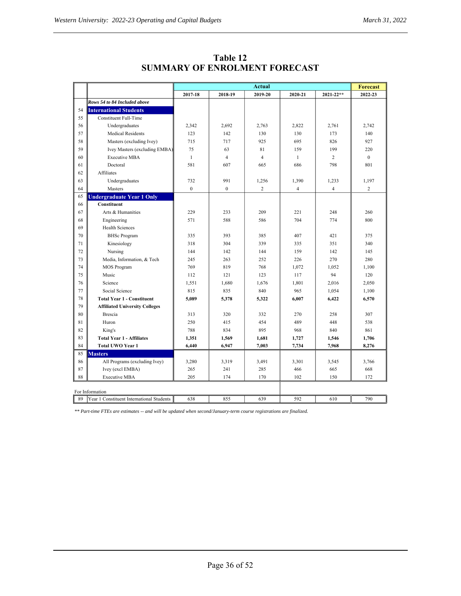|    |                                           | <b>Actual</b> |                  |                |                | <b>Forecast</b> |                |
|----|-------------------------------------------|---------------|------------------|----------------|----------------|-----------------|----------------|
|    |                                           | 2017-18       | 2018-19          | 2019-20        | 2020-21        | $2021 - 22**$   | 2022-23        |
|    | Rows 54 to 84 Included above              |               |                  |                |                |                 |                |
| 54 | <b>International Students</b>             |               |                  |                |                |                 |                |
| 55 | <b>Constituent Full-Time</b>              |               |                  |                |                |                 |                |
| 56 | Undergraduates                            | 2,342         | 2,692            | 2,763          | 2,822          | 2,761           | 2,742          |
| 57 | <b>Medical Residents</b>                  | 123           | 142              | 130            | 130            | 173             | 140            |
| 58 | Masters (excluding Ivey)                  | 715           | 717              | 925            | 695            | 826             | 927            |
| 59 | Ivey Masters (excluding EMBA)             | 75            | 63               | 81             | 159            | 199             | 220            |
| 60 | <b>Executive MBA</b>                      | $\mathbf{1}$  | $\overline{4}$   | $\overline{4}$ | $\mathbf{1}$   | $\overline{2}$  | $\Omega$       |
| 61 | Doctoral                                  | 581           | 607              | 665            | 686            | 798             | 801            |
| 62 | <b>Affiliates</b>                         |               |                  |                |                |                 |                |
| 63 | Undergraduates                            | 732           | 991              | 1,256          | 1,390          | 1,233           | 1,197          |
| 64 | Masters                                   | $\mathbf{0}$  | $\boldsymbol{0}$ | $\overline{2}$ | $\overline{4}$ | $\overline{4}$  | $\overline{c}$ |
| 65 | <b>Undergraduate Year 1 Only</b>          |               |                  |                |                |                 |                |
| 66 | Constituent                               |               |                  |                |                |                 |                |
| 67 | Arts & Humanities                         | 229           | 233              | 209            | 221            | 248             | 260            |
| 68 | Engineering                               | 571           | 588              | 586            | 704            | 774             | 800            |
| 69 | <b>Health Sciences</b>                    |               |                  |                |                |                 |                |
| 70 | <b>BHSc Program</b>                       | 335           | 393              | 385            | 407            | 421             | 375            |
| 71 | Kinesiology                               | 318           | 304              | 339            | 335            | 351             | 340            |
| 72 | Nursing                                   | 144           | 142              | 144            | 159            | 142             | 145            |
| 73 | Media, Information, & Tech                | 245           | 263              | 252            | 226            | 270             | 280            |
| 74 | <b>MOS Program</b>                        | 769           | 819              | 768            | 1,072          | 1.052           | 1.100          |
| 75 | Music                                     | 112           | 121              | 123            | 117            | 94              | 120            |
| 76 | Science                                   | 1,551         | 1,680            | 1.676          | 1,801          | 2,016           | 2,050          |
| 77 | Social Science                            | 815           | 835              | 840            | 965            | 1,054           | 1,100          |
| 78 | <b>Total Year 1 - Constituent</b>         | 5,089         | 5,378            | 5,322          | 6,007          | 6,422           | 6,570          |
| 79 | <b>Affiliated University Colleges</b>     |               |                  |                |                |                 |                |
| 80 | <b>Brescia</b>                            | 313           | 320              | 332            | 270            | 258             | 307            |
| 81 | Huron                                     | 250           | 415              | 454            | 489            | 448             | 538            |
| 82 | King's                                    | 788           | 834              | 895            | 968            | 840             | 861            |
| 83 | <b>Total Year 1 - Affiliates</b>          | 1,351         | 1,569            | 1,681          | 1,727          | 1,546           | 1,706          |
| 84 | <b>Total UWO Year 1</b>                   | 6,440         | 6,947            | 7,003          | 7,734          | 7,968           | 8,276          |
| 85 | <b>Masters</b>                            |               |                  |                |                |                 |                |
| 86 | All Programs (excluding Ivey)             | 3,280         | 3,319            | 3,491          | 3,301          | 3,545           | 3,766          |
| 87 | Ivey (excl EMBA)                          | 265           | 241              | 285            | 466            | 665             | 668            |
| 88 | <b>Executive MBA</b>                      | 205           | 174              | 170            | 102            | 150             | 172            |
|    | For Information                           |               |                  |                |                |                 |                |
| 89 | Year 1 Constituent International Students | 638           | 855              | 639            | 592            | 610             | 790            |

**Table 12 SUMMARY OF ENROLMENT FORECAST**

*\*\* Part-time FTEs are estimates -- and will be updated when second/January-term course registrations are finalized.*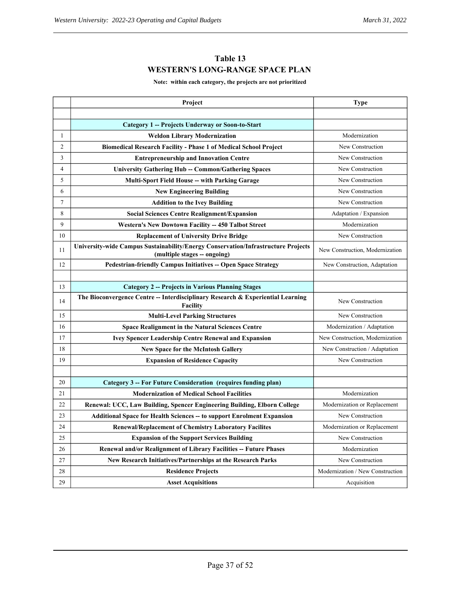# **Table 13 WESTERN'S LONG-RANGE SPACE PLAN**

**Note: within each category, the projects are not prioritized**

|                | Project                                                                                                           | <b>Type</b>                      |
|----------------|-------------------------------------------------------------------------------------------------------------------|----------------------------------|
|                |                                                                                                                   |                                  |
|                | Category 1 -- Projects Underway or Soon-to-Start                                                                  |                                  |
| 1              | <b>Weldon Library Modernization</b>                                                                               | Modernization                    |
| $\overline{c}$ | <b>Biomedical Research Facility - Phase 1 of Medical School Project</b>                                           | New Construction                 |
| 3              | <b>Entrepreneurship and Innovation Centre</b>                                                                     | New Construction                 |
| 4              | <b>University Gathering Hub -- Common/Gathering Spaces</b>                                                        | New Construction                 |
| 5              | <b>Multi-Sport Field House -- with Parking Garage</b>                                                             | New Construction                 |
| 6              | <b>New Engineering Building</b>                                                                                   | New Construction                 |
| 7              | <b>Addition to the Ivey Building</b>                                                                              | New Construction                 |
| 8              | <b>Social Sciences Centre Realignment/Expansion</b>                                                               | Adaptation / Expansion           |
| 9              | <b>Western's New Dowtown Facility -- 450 Talbot Street</b>                                                        | Modernization                    |
| 10             | <b>Replacement of University Drive Bridge</b>                                                                     | New Construction                 |
| 11             | University-wide Campus Sustainability/Energy Conservation/Infrastructure Projects<br>(multiple stages -- ongoing) | New Construction, Modernization  |
| 12             | <b>Pedestrian-friendly Campus Initiatives -- Open Space Strategy</b>                                              | New Construction, Adaptation     |
|                |                                                                                                                   |                                  |
| 13             | <b>Category 2 -- Projects in Various Planning Stages</b>                                                          |                                  |
| 14             | The Bioconvergence Centre -- Interdisciplinary Research & Experiential Learning<br>Facility                       | New Construction                 |
| 15             | <b>Multi-Level Parking Structures</b>                                                                             | New Construction                 |
| 16             | <b>Space Realignment in the Natural Sciences Centre</b>                                                           | Modernization / Adaptation       |
| 17             | <b>Ivey Spencer Leadership Centre Renewal and Expansion</b>                                                       | New Construction, Modernization  |
| 18             | <b>New Space for the McIntosh Gallery</b>                                                                         | New Construction / Adaptation    |
| 19             | <b>Expansion of Residence Capacity</b>                                                                            | New Construction                 |
|                |                                                                                                                   |                                  |
| 20             | Category 3 -- For Future Consideration (requires funding plan)                                                    |                                  |
| 21             | <b>Modernization of Medical School Facilities</b>                                                                 | Modernization                    |
| 22             | Renewal: UCC, Law Building, Spencer Engineering Building, Elborn College                                          | Modernization or Replacement     |
| 23             | <b>Additional Space for Health Sciences -- to support Enrolment Expansion</b>                                     | New Construction                 |
| 24             | <b>Renewal/Replacement of Chemistry Laboratory Facilites</b>                                                      | Modernization or Replacement     |
| 25             | <b>Expansion of the Support Services Building</b>                                                                 | New Construction                 |
| 26             | Renewal and/or Realignment of Library Facilities -- Future Phases                                                 | Modernization                    |
| 27             | New Research Initiatives/Partnerships at the Research Parks                                                       | New Construction                 |
| 28             | <b>Residence Projects</b>                                                                                         | Modernization / New Construction |
| 29             | <b>Asset Acquisitions</b>                                                                                         | Acquisition                      |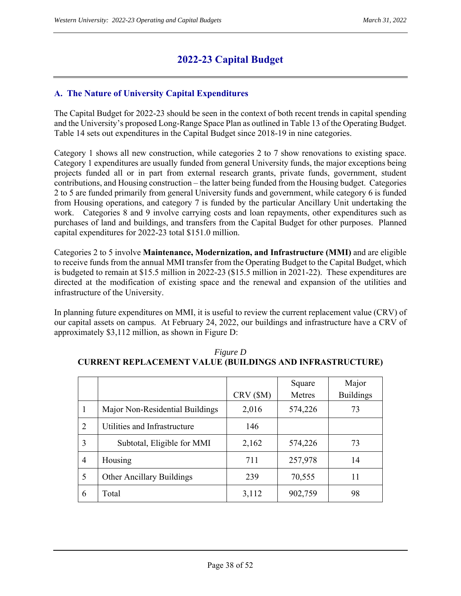# **2022-23 Capital Budget**

# **A. The Nature of University Capital Expenditures**

The Capital Budget for 2022-23 should be seen in the context of both recent trends in capital spending and the University's proposed Long-Range Space Plan as outlined in Table 13 of the Operating Budget. Table 14 sets out expenditures in the Capital Budget since 2018-19 in nine categories.

Category 1 shows all new construction, while categories 2 to 7 show renovations to existing space. Category 1 expenditures are usually funded from general University funds, the major exceptions being projects funded all or in part from external research grants, private funds, government, student contributions, and Housing construction – the latter being funded from the Housing budget. Categories 2 to 5 are funded primarily from general University funds and government, while category 6 is funded from Housing operations, and category 7 is funded by the particular Ancillary Unit undertaking the work. Categories 8 and 9 involve carrying costs and loan repayments, other expenditures such as purchases of land and buildings, and transfers from the Capital Budget for other purposes. Planned capital expenditures for 2022-23 total \$151.0 million.

Categories 2 to 5 involve **Maintenance, Modernization, and Infrastructure (MMI)** and are eligible to receive funds from the annual MMI transfer from the Operating Budget to the Capital Budget, which is budgeted to remain at \$15.5 million in 2022-23 (\$15.5 million in 2021-22). These expenditures are directed at the modification of existing space and the renewal and expansion of the utilities and infrastructure of the University.

In planning future expenditures on MMI, it is useful to review the current replacement value (CRV) of our capital assets on campus. At February 24, 2022, our buildings and infrastructure have a CRV of approximately \$3,112 million, as shown in Figure D:

|   |                                 | CRV (\$M) | Square<br>Metres | Major<br><b>Buildings</b> |
|---|---------------------------------|-----------|------------------|---------------------------|
|   | Major Non-Residential Buildings | 2,016     | 574,226          | 73                        |
| 2 | Utilities and Infrastructure    | 146       |                  |                           |
| 3 | Subtotal, Eligible for MMI      | 2,162     | 574,226          | 73                        |
| 4 | Housing                         | 711       | 257,978          | 14                        |
| 5 | Other Ancillary Buildings       | 239       | 70,555           | 11                        |
| 6 | Total                           | 3,112     | 902,759          | 98                        |

|                                                                 | <i>Figure D</i> |  |
|-----------------------------------------------------------------|-----------------|--|
| <b>CURRENT REPLACEMENT VALUE (BUILDINGS AND INFRASTRUCTURE)</b> |                 |  |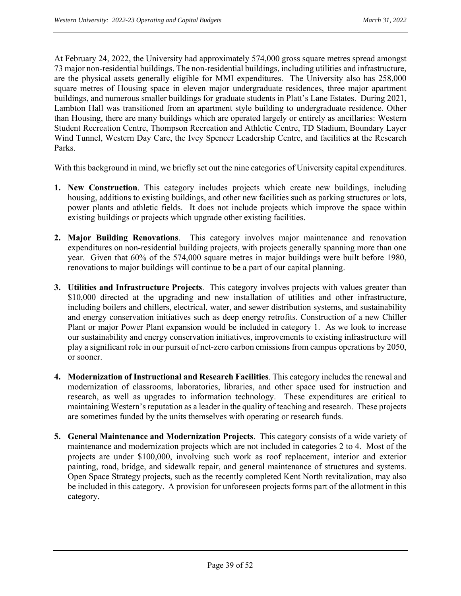At February 24, 2022, the University had approximately 574,000 gross square metres spread amongst 73 major non-residential buildings. The non-residential buildings, including utilities and infrastructure, are the physical assets generally eligible for MMI expenditures. The University also has 258,000 square metres of Housing space in eleven major undergraduate residences, three major apartment buildings, and numerous smaller buildings for graduate students in Platt's Lane Estates. During 2021, Lambton Hall was transitioned from an apartment style building to undergraduate residence. Other than Housing, there are many buildings which are operated largely or entirely as ancillaries: Western Student Recreation Centre, Thompson Recreation and Athletic Centre, TD Stadium, Boundary Layer Wind Tunnel, Western Day Care, the Ivey Spencer Leadership Centre, and facilities at the Research Parks.

With this background in mind, we briefly set out the nine categories of University capital expenditures.

- **1. New Construction**. This category includes projects which create new buildings, including housing, additions to existing buildings, and other new facilities such as parking structures or lots, power plants and athletic fields. It does not include projects which improve the space within existing buildings or projects which upgrade other existing facilities.
- **2. Major Building Renovations**. This category involves major maintenance and renovation expenditures on non-residential building projects, with projects generally spanning more than one year. Given that 60% of the 574,000 square metres in major buildings were built before 1980, renovations to major buildings will continue to be a part of our capital planning.
- **3. Utilities and Infrastructure Projects**. This category involves projects with values greater than \$10,000 directed at the upgrading and new installation of utilities and other infrastructure, including boilers and chillers, electrical, water, and sewer distribution systems, and sustainability and energy conservation initiatives such as deep energy retrofits. Construction of a new Chiller Plant or major Power Plant expansion would be included in category 1. As we look to increase our sustainability and energy conservation initiatives, improvements to existing infrastructure will play a significant role in our pursuit of net-zero carbon emissions from campus operations by 2050, or sooner.
- **4. Modernization of Instructional and Research Facilities**. This category includes the renewal and modernization of classrooms, laboratories, libraries, and other space used for instruction and research, as well as upgrades to information technology. These expenditures are critical to maintaining Western's reputation as a leader in the quality of teaching and research. These projects are sometimes funded by the units themselves with operating or research funds.
- **5. General Maintenance and Modernization Projects**. This category consists of a wide variety of maintenance and modernization projects which are not included in categories 2 to 4. Most of the projects are under \$100,000, involving such work as roof replacement, interior and exterior painting, road, bridge, and sidewalk repair, and general maintenance of structures and systems. Open Space Strategy projects, such as the recently completed Kent North revitalization, may also be included in this category. A provision for unforeseen projects forms part of the allotment in this category.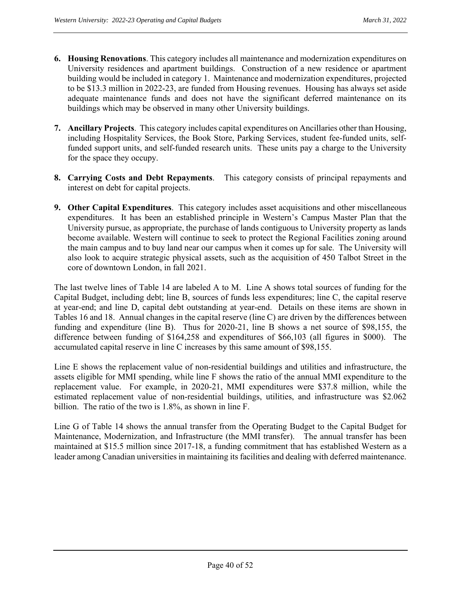- **6. Housing Renovations**. This category includes all maintenance and modernization expenditures on University residences and apartment buildings. Construction of a new residence or apartment building would be included in category 1. Maintenance and modernization expenditures, projected to be \$13.3 million in 2022-23, are funded from Housing revenues. Housing has always set aside adequate maintenance funds and does not have the significant deferred maintenance on its buildings which may be observed in many other University buildings.
- **7. Ancillary Projects**. This category includes capital expenditures on Ancillaries other than Housing, including Hospitality Services, the Book Store, Parking Services, student fee-funded units, selffunded support units, and self-funded research units. These units pay a charge to the University for the space they occupy.
- **8. Carrying Costs and Debt Repayments**. This category consists of principal repayments and interest on debt for capital projects.
- **9. Other Capital Expenditures**. This category includes asset acquisitions and other miscellaneous expenditures. It has been an established principle in Western's Campus Master Plan that the University pursue, as appropriate, the purchase of lands contiguous to University property as lands become available. Western will continue to seek to protect the Regional Facilities zoning around the main campus and to buy land near our campus when it comes up for sale. The University will also look to acquire strategic physical assets, such as the acquisition of 450 Talbot Street in the core of downtown London, in fall 2021.

The last twelve lines of Table 14 are labeled A to M. Line A shows total sources of funding for the Capital Budget, including debt; line B, sources of funds less expenditures; line C, the capital reserve at year-end; and line D, capital debt outstanding at year-end. Details on these items are shown in Tables 16 and 18. Annual changes in the capital reserve (line C) are driven by the differences between funding and expenditure (line B). Thus for 2020-21, line B shows a net source of \$98,155, the difference between funding of \$164,258 and expenditures of \$66,103 (all figures in \$000). The accumulated capital reserve in line C increases by this same amount of \$98,155.

Line E shows the replacement value of non-residential buildings and utilities and infrastructure, the assets eligible for MMI spending, while line F shows the ratio of the annual MMI expenditure to the replacement value. For example, in 2020-21, MMI expenditures were \$37.8 million, while the estimated replacement value of non-residential buildings, utilities, and infrastructure was \$2.062 billion. The ratio of the two is 1.8%, as shown in line F.

Line G of Table 14 shows the annual transfer from the Operating Budget to the Capital Budget for Maintenance, Modernization, and Infrastructure (the MMI transfer). The annual transfer has been maintained at \$15.5 million since 2017-18, a funding commitment that has established Western as a leader among Canadian universities in maintaining its facilities and dealing with deferred maintenance.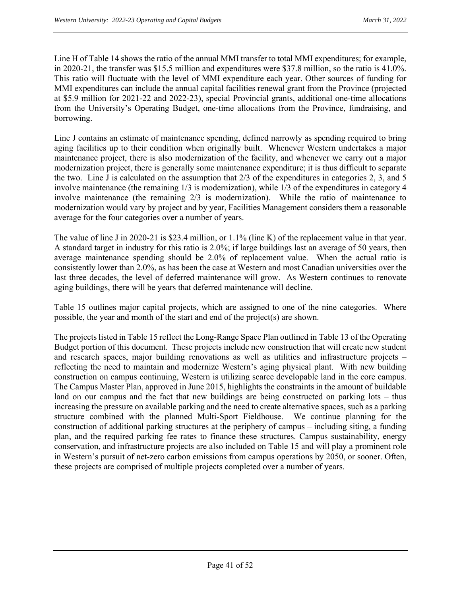Line H of Table 14 shows the ratio of the annual MMI transfer to total MMI expenditures; for example, in 2020-21, the transfer was \$15.5 million and expenditures were \$37.8 million, so the ratio is 41.0%. This ratio will fluctuate with the level of MMI expenditure each year. Other sources of funding for MMI expenditures can include the annual capital facilities renewal grant from the Province (projected at \$5.9 million for 2021-22 and 2022-23), special Provincial grants, additional one-time allocations from the University's Operating Budget, one-time allocations from the Province, fundraising, and borrowing.

Line J contains an estimate of maintenance spending, defined narrowly as spending required to bring aging facilities up to their condition when originally built. Whenever Western undertakes a major maintenance project, there is also modernization of the facility, and whenever we carry out a major modernization project, there is generally some maintenance expenditure; it is thus difficult to separate the two. Line J is calculated on the assumption that 2/3 of the expenditures in categories 2, 3, and 5 involve maintenance (the remaining 1/3 is modernization), while 1/3 of the expenditures in category 4 involve maintenance (the remaining 2/3 is modernization). While the ratio of maintenance to modernization would vary by project and by year, Facilities Management considers them a reasonable average for the four categories over a number of years.

The value of line J in 2020-21 is \$23.4 million, or 1.1% (line K) of the replacement value in that year. A standard target in industry for this ratio is 2.0%; if large buildings last an average of 50 years, then average maintenance spending should be 2.0% of replacement value. When the actual ratio is consistently lower than 2.0%, as has been the case at Western and most Canadian universities over the last three decades, the level of deferred maintenance will grow. As Western continues to renovate aging buildings, there will be years that deferred maintenance will decline.

Table 15 outlines major capital projects, which are assigned to one of the nine categories. Where possible, the year and month of the start and end of the project(s) are shown.

The projects listed in Table 15 reflect the Long-Range Space Plan outlined in Table 13 of the Operating Budget portion of this document. These projects include new construction that will create new student and research spaces, major building renovations as well as utilities and infrastructure projects – reflecting the need to maintain and modernize Western's aging physical plant. With new building construction on campus continuing, Western is utilizing scarce developable land in the core campus. The Campus Master Plan, approved in June 2015, highlights the constraints in the amount of buildable land on our campus and the fact that new buildings are being constructed on parking lots – thus increasing the pressure on available parking and the need to create alternative spaces, such as a parking structure combined with the planned Multi-Sport Fieldhouse. We continue planning for the construction of additional parking structures at the periphery of campus – including siting, a funding plan, and the required parking fee rates to finance these structures. Campus sustainability, energy conservation, and infrastructure projects are also included on Table 15 and will play a prominent role in Western's pursuit of net-zero carbon emissions from campus operations by 2050, or sooner. Often, these projects are comprised of multiple projects completed over a number of years.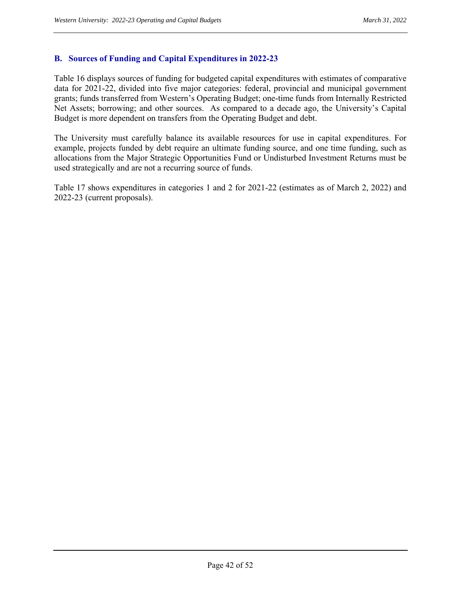#### **B. Sources of Funding and Capital Expenditures in 2022-23**

Table 16 displays sources of funding for budgeted capital expenditures with estimates of comparative data for 2021-22, divided into five major categories: federal, provincial and municipal government grants; funds transferred from Western's Operating Budget; one-time funds from Internally Restricted Net Assets; borrowing; and other sources. As compared to a decade ago, the University's Capital Budget is more dependent on transfers from the Operating Budget and debt.

The University must carefully balance its available resources for use in capital expenditures. For example, projects funded by debt require an ultimate funding source, and one time funding, such as allocations from the Major Strategic Opportunities Fund or Undisturbed Investment Returns must be used strategically and are not a recurring source of funds.

Table 17 shows expenditures in categories 1 and 2 for 2021-22 (estimates as of March 2, 2022) and 2022-23 (current proposals).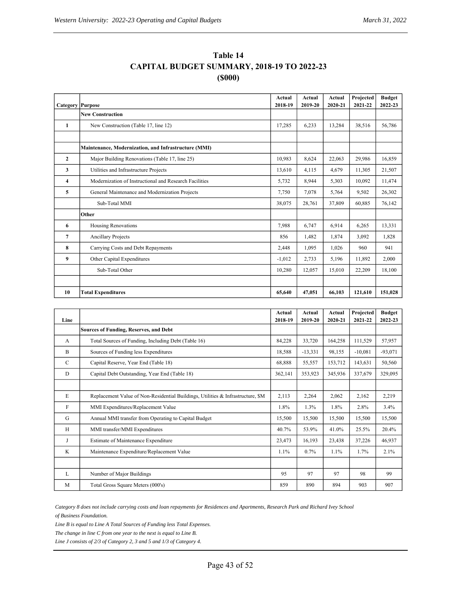| Table 14                                          |
|---------------------------------------------------|
| <b>CAPITAL BUDGET SUMMARY, 2018-19 TO 2022-23</b> |
| (5000)                                            |

| <b>Category Purpose</b> |                                                        | Actual<br>2018-19 | Actual<br>2019-20 | Actual<br>2020-21 | Projected<br>2021-22 | <b>Budget</b><br>2022-23 |
|-------------------------|--------------------------------------------------------|-------------------|-------------------|-------------------|----------------------|--------------------------|
|                         | <b>New Construction</b>                                |                   |                   |                   |                      |                          |
| 1                       | New Construction (Table 17, line 12)                   | 17,285            | 6,233             | 13,284            | 38,516               | 56,786                   |
|                         |                                                        |                   |                   |                   |                      |                          |
|                         | Maintenance, Modernization, and Infrastructure (MMI)   |                   |                   |                   |                      |                          |
| $\mathbf{2}$            | Major Building Renovations (Table 17, line 25)         | 10,983            | 8,624             | 22,063            | 29,986               | 16,859                   |
| 3                       | Utilities and Infrastructure Projects                  | 13,610            | 4,115             | 4,679             | 11,305               | 21,507                   |
| 4                       | Modernization of Instructional and Research Facilities | 5,732             | 8,944             | 5,303             | 10.092               | 11,474                   |
| 5                       | General Maintenance and Modernization Projects         | 7,750             | 7,078             | 5,764             | 9,502                | 26,302                   |
|                         | Sub-Total MMI                                          | 38,075            | 28,761            | 37,809            | 60,885               | 76,142                   |
|                         | Other                                                  |                   |                   |                   |                      |                          |
| 6                       | <b>Housing Renovations</b>                             | 7,988             | 6,747             | 6,914             | 6,265                | 13,331                   |
| 7                       | <b>Ancillary Projects</b>                              | 856               | 1,482             | 1,874             | 3,092                | 1,828                    |
| 8                       | Carrying Costs and Debt Repayments                     | 2,448             | 1,095             | 1,026             | 960                  | 941                      |
| 9                       | Other Capital Expenditures                             | $-1,012$          | 2,733             | 5,196             | 11.892               | 2,000                    |
|                         | Sub-Total Other                                        | 10.280            | 12,057            | 15,010            | 22.209               | 18.100                   |
|                         |                                                        |                   |                   |                   |                      |                          |
| 10                      | <b>Total Expenditures</b>                              | 65,640            | 47,051            | 66,103            | 121,610              | 151,028                  |

| Line        |                                                                                 | Actual<br>2018-19 | Actual<br>2019-20 | Actual<br>2020-21 | Projected<br>2021-22 | <b>Budget</b><br>2022-23 |
|-------------|---------------------------------------------------------------------------------|-------------------|-------------------|-------------------|----------------------|--------------------------|
|             | <b>Sources of Funding, Reserves, and Debt</b>                                   |                   |                   |                   |                      |                          |
| A           | Total Sources of Funding, Including Debt (Table 16)                             | 84,228            | 33,720            | 164,258           | 111,529              | 57,957                   |
| B           | Sources of Funding less Expenditures                                            | 18,588            | $-13,331$         | 98,155            | $-10,081$            | $-93,071$                |
| $\mathbf C$ | Capital Reserve, Year End (Table 18)                                            | 68,888            | 55,557            | 153,712           | 143,631              | 50,560                   |
| D           | Capital Debt Outstanding, Year End (Table 18)                                   |                   | 353,923           | 345,936           | 337,679              | 329,095                  |
|             |                                                                                 |                   |                   |                   |                      |                          |
| E           | Replacement Value of Non-Residential Buildings, Utilities & Infrastructure, \$M |                   | 2,264             | 2,062             | 2.162                | 2,219                    |
| F           | MMI Expenditures/Replacement Value                                              |                   | 1.3%              | 1.8%              | 2.8%                 | 3.4%                     |
| G           | Annual MMI transfer from Operating to Capital Budget                            | 15,500            | 15,500            | 15,500            | 15,500               | 15,500                   |
| H           | MMI transfer/MMI Expenditures                                                   | 40.7%             | 53.9%             | 41.0%             | 25.5%                | 20.4%                    |
| J           | <b>Estimate of Maintenance Expenditure</b>                                      | 23,473            | 16,193            | 23,438            | 37,226               | 46,937                   |
| K           | Maintenance Expenditure/Replacement Value                                       | 1.1%              | 0.7%              | 1.1%              | 1.7%                 | 2.1%                     |
|             |                                                                                 |                   |                   |                   |                      |                          |
| L           | Number of Major Buildings                                                       | 95                | 97                | 97                | 98                   | 99                       |
| M           | Total Gross Square Meters (000's)                                               | 859               | 890               | 894               | 903                  | 907                      |

*Category 8 does not include carrying costs and loan repayments for Residences and Apartments, Research Park and Richard Ivey School of Business Foundation.*

*Line B is equal to Line A Total Sources of Funding less Total Expenses.*

*The change in line C from one year to the next is equal to Line B.*

*Line J consists of 2/3 of Category 2, 3 and 5 and 1/3 of Category 4.*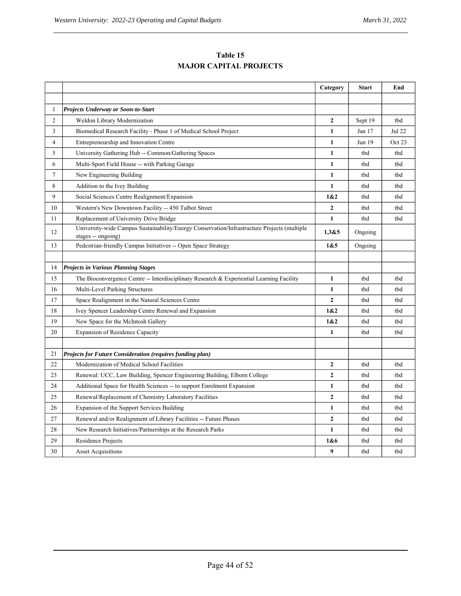| Table 15                      |
|-------------------------------|
| <b>MAJOR CAPITAL PROJECTS</b> |

|              |                                                                                                                   | Category       | Start    | End    |
|--------------|-------------------------------------------------------------------------------------------------------------------|----------------|----------|--------|
|              |                                                                                                                   |                |          |        |
| $\mathbf{1}$ | <b>Projects Underway or Soon-to-Start</b>                                                                         |                |          |        |
| 2            | Weldon Library Modernization                                                                                      | $\mathbf{2}$   | Sept 19  | tbd    |
| 3            | Biomedical Research Facility - Phase 1 of Medical School Project                                                  | 1              | Jan $17$ | Jul 22 |
| 4            | Entrepreneurship and Innovation Centre                                                                            | 1              | Jun 19   | Oct 23 |
| 5            | University Gathering Hub -- Common/Gathering Spaces                                                               | 1              | tbd      | tbd    |
| 6            | Multi-Sport Field House -- with Parking Garage                                                                    | 1              | tbd      | tbd    |
| 7            | New Engineering Building                                                                                          | 1              | tbd      | tbd    |
| 8            | Addition to the Ivey Building                                                                                     | 1              | tbd      | tbd    |
| 9            | Social Sciences Centre Realignment/Expansion                                                                      | 1&2            | tbd      | tbd    |
| 10           | Western's New Downtown Facility -- 450 Talbot Street                                                              | $\mathbf{2}$   | tbd      | tbd    |
| 11           | Replacement of University Drive Bridge                                                                            | 1              | tbd      | tbd    |
| 12           | University-wide Campus Sustainability/Energy Conservation/Infrastructure Projects (multiple<br>stages -- ongoing) | 1,3&5          | Ongoing  |        |
| 13           | Pedestrian-friendly Campus Initiatives -- Open Space Strategy                                                     | 1&5            | Ongoing  |        |
|              |                                                                                                                   |                |          |        |
| 14           | <b>Projects in Various Planning Stages</b>                                                                        |                |          |        |
| 15           | The Bioconvergence Centre -- Interdisciplinary Research & Experiential Learning Facility                          | $\mathbf{1}$   | tbd      | tbd    |
| 16           | Multi-Level Parking Structures                                                                                    | 1              | tbd      | tbd    |
| 17           | Space Realignment in the Natural Sciences Centre                                                                  | $\overline{2}$ | tbd      | tbd    |
| 18           | Ivey Spencer Leadership Centre Renewal and Expansion                                                              | 1&2            | tbd      | tbd    |
| 19           | New Space for the McIntosh Gallery                                                                                | 1&2            | tbd      | tbd    |
| 20           | <b>Expansion of Residence Capacity</b>                                                                            | $\mathbf{1}$   | tbd      | tbd    |
|              |                                                                                                                   |                |          |        |
| 21           | <b>Projects for Future Consideration (requires funding plan)</b>                                                  |                |          |        |
| 22           | Modernization of Medical School Facilities                                                                        | $\overline{2}$ | tbd      | tbd    |
| 23           | Renewal: UCC, Law Building, Spencer Engineering Building, Elborn College                                          | $\mathbf{2}$   | tbd      | tbd    |
| 24           | Additional Space for Health Sciences -- to support Enrolment Expansion                                            | $\mathbf{1}$   | tbd      | tbd    |
| 25           | Renewal/Replacement of Chemistry Laboratory Facilities                                                            | $\mathbf{2}$   | tbd      | tbd    |
| 26           | Expansion of the Support Services Building                                                                        | $\mathbf{1}$   | tbd      | tbd    |
| 27           | Renewal and/or Realignment of Library Facilities -- Future Phases                                                 | $\mathbf{2}$   | tbd      | tbd    |
| 28           | New Research Initiatives/Partnerships at the Research Parks                                                       | 1              | tbd      | tbd    |
| 29           | Residence Projects                                                                                                | 1&6            | tbd      | tbd    |
| 30           | <b>Asset Acquisitions</b>                                                                                         | 9              | tbd      | tbd    |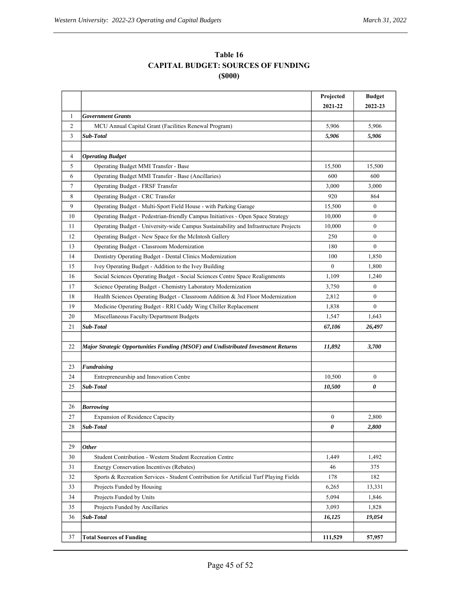| Table 16                                  |
|-------------------------------------------|
| <b>CAPITAL BUDGET: SOURCES OF FUNDING</b> |
| (\$000)                                   |

|                        |                                                                                        | Projected        | <b>Budget</b> |
|------------------------|----------------------------------------------------------------------------------------|------------------|---------------|
|                        |                                                                                        | 2021-22          | 2022-23       |
| $\mathbf{1}$           | <b>Government Grants</b>                                                               |                  |               |
| 2                      | MCU Annual Capital Grant (Facilities Renewal Program)                                  | 5,906            | 5,906         |
| 3                      | Sub-Total                                                                              | 5,906            | 5,906         |
|                        |                                                                                        |                  |               |
| 4                      | <b>Operating Budget</b>                                                                |                  |               |
| 5                      | Operating Budget MMI Transfer - Base                                                   | 15,500           | 15,500        |
| 6                      | Operating Budget MMI Transfer - Base (Ancillaries)                                     | 600              | 600           |
| 7                      | Operating Budget - FRSF Transfer                                                       | 3,000            | 3,000         |
| 8                      | Operating Budget - CRC Transfer                                                        | 920              | 864           |
| 9                      | Operating Budget - Multi-Sport Field House - with Parking Garage                       | 15,500           | $\mathbf{0}$  |
| 10                     | Operating Budget - Pedestrian-friendly Campus Initiatives - Open Space Strategy        | 10,000           | $\Omega$      |
| 11                     | Operating Budget - University-wide Campus Sustainability and Infrastructure Projects   | 10,000           | $\mathbf{0}$  |
| 12                     | Operating Budget - New Space for the McIntosh Gallery                                  | 250              | $\mathbf{0}$  |
| 13                     | Operating Budget - Classroom Modernization                                             | 180              | $\theta$      |
| 14                     | Dentistry Operating Budget - Dental Clinics Modernization                              | 100              | 1,850         |
| 15                     | Ivey Operating Budget - Addition to the Ivey Building                                  | $\mathbf{0}$     | 1,800         |
| 16                     | Social Sciences Operating Budget - Social Sciences Centre Space Realignments           | 1,109            | 1,240         |
| 17                     | Science Operating Budget - Chemistry Laboratory Modernization                          | 3,750            | $\mathbf{0}$  |
| 18                     | Health Sciences Operating Budget - Classroom Addition & 3rd Floor Modernization        | 2,812            | $\mathbf{0}$  |
| 19                     | Medicine Operating Budget - RRI Cuddy Wing Chiller Replacement                         | 1,838            | $\theta$      |
| 20                     | Miscellaneous Faculty/Department Budgets                                               | 1,547            | 1,643         |
| 21                     | Sub-Total                                                                              | 67,106           | 26,497        |
|                        |                                                                                        |                  |               |
| 22                     | Major Strategic Opportunities Funding (MSOF) and Undistributed Investment Returns      | 11,892           | 3,700         |
| 23                     | <b>Fundraising</b>                                                                     |                  |               |
| 24                     | Entrepreneurship and Innovation Centre                                                 | 10,500           | $\mathbf{0}$  |
| 25                     | Sub-Total                                                                              | 10,500           | 0             |
|                        |                                                                                        |                  |               |
| 26                     | <b>Borrowing</b>                                                                       |                  |               |
| 27                     | Expansion of Residence Capacity                                                        | $\boldsymbol{0}$ | 2,800         |
| 28<br><b>Sub-Total</b> |                                                                                        | 0                | 2,800         |
|                        |                                                                                        |                  |               |
| 29<br><b>Other</b>     |                                                                                        |                  |               |
| 30                     | Student Contribution - Western Student Recreation Centre                               | 1,449            | 1,492         |
| 31                     | <b>Energy Conservation Incentives (Rebates)</b>                                        | 46               | 375           |
| 32                     | Sports & Recreation Services - Student Contribution for Artificial Turf Playing Fields | 178              | 182           |
| 33                     | Projects Funded by Housing                                                             | 6,265            | 13,331        |
| 34                     | Projects Funded by Units                                                               | 5,094            | 1,846         |
| 35                     | Projects Funded by Ancillaries                                                         | 3,093            | 1,828         |
| 36                     | Sub-Total                                                                              | 16,125           | 19,054        |
|                        |                                                                                        |                  |               |
| 37                     | <b>Total Sources of Funding</b>                                                        | 111,529          | 57,957        |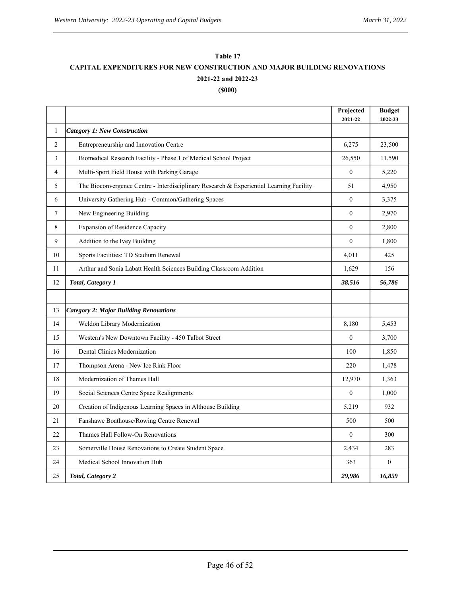# **CAPITAL EXPENDITURES FOR NEW CONSTRUCTION AND MAJOR BUILDING RENOVATIONS Table 17 (\$000) 2021-22 and 2022-23**

|              |                                                                                         | Projected<br>2021-22 | <b>Budget</b><br>2022-23 |
|--------------|-----------------------------------------------------------------------------------------|----------------------|--------------------------|
| $\mathbf{1}$ | <b>Category 1: New Construction</b>                                                     |                      |                          |
| 2            | Entrepreneurship and Innovation Centre                                                  | 6,275                | 23,500                   |
| 3            | Biomedical Research Facility - Phase 1 of Medical School Project                        | 26,550               | 11,590                   |
| 4            | Multi-Sport Field House with Parking Garage                                             | $\Omega$             | 5,220                    |
| 5            | The Bioconvergence Centre - Interdisciplinary Research & Experiential Learning Facility | 51                   | 4,950                    |
| 6            | University Gathering Hub - Common/Gathering Spaces                                      | $\mathbf{0}$         | 3,375                    |
| $\tau$       | New Engineering Building                                                                | $\theta$             | 2,970                    |
| 8            | Expansion of Residence Capacity                                                         | $\theta$             | 2,800                    |
| 9            | Addition to the Ivey Building                                                           | $\mathbf{0}$         | 1,800                    |
| 10           | Sports Facilities: TD Stadium Renewal                                                   | 4,011                | 425                      |
| 11           | Arthur and Sonia Labatt Health Sciences Building Classroom Addition                     | 1,629                | 156                      |
| 12           | Total, Category 1                                                                       | 38,516               | 56,786                   |
|              |                                                                                         |                      |                          |
| 13           | <b>Category 2: Major Building Renovations</b>                                           |                      |                          |
| 14           | Weldon Library Modernization                                                            | 8.180                | 5,453                    |
| 15           | Western's New Downtown Facility - 450 Talbot Street                                     | $\theta$             | 3,700                    |
| 16           | Dental Clinics Modernization                                                            | 100                  | 1,850                    |
| 17           | Thompson Arena - New Ice Rink Floor                                                     | 220                  | 1,478                    |
| 18           | Modernization of Thames Hall                                                            | 12,970               | 1,363                    |
| 19           | Social Sciences Centre Space Realignments                                               | $\mathbf{0}$         | 1,000                    |
| 20           | Creation of Indigenous Learning Spaces in Althouse Building                             | 5,219                | 932                      |
| 21           | Fanshawe Boathouse/Rowing Centre Renewal                                                | 500                  | 500                      |
| 22           | Thames Hall Follow-On Renovations                                                       | $\theta$             | 300                      |
| 23           | Somerville House Renovations to Create Student Space                                    | 2,434                | 283                      |
| 24           | Medical School Innovation Hub                                                           | 363                  | $\mathbf{0}$             |
| 25           | Total, Category 2                                                                       | 29,986               | 16,859                   |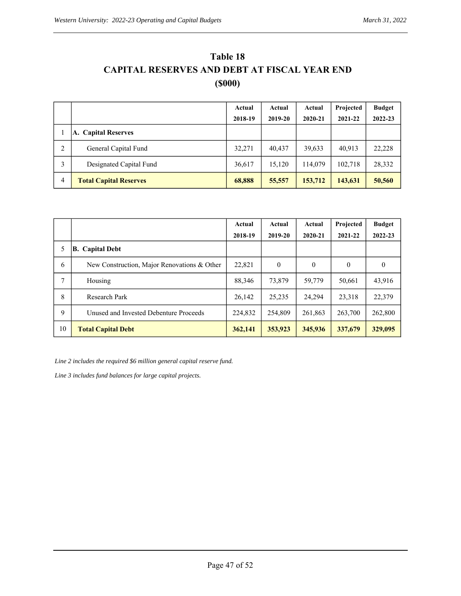| Table 18                                            |  |  |  |  |  |  |  |
|-----------------------------------------------------|--|--|--|--|--|--|--|
| <b>CAPITAL RESERVES AND DEBT AT FISCAL YEAR END</b> |  |  |  |  |  |  |  |
| (5000)                                              |  |  |  |  |  |  |  |

|   |                               | Actual  | Actual  | Actual  | Projected | <b>Budget</b> |
|---|-------------------------------|---------|---------|---------|-----------|---------------|
|   |                               | 2018-19 | 2019-20 | 2020-21 | 2021-22   | 2022-23       |
|   | A. Capital Reserves           |         |         |         |           |               |
| 2 | General Capital Fund          | 32,271  | 40.437  | 39,633  | 40.913    | 22,228        |
| 3 | Designated Capital Fund       | 36,617  | 15,120  | 114,079 | 102,718   | 28,332        |
| 4 | <b>Total Capital Reserves</b> | 68,888  | 55,557  | 153,712 | 143,631   | 50,560        |

|    |                                             | Actual  | Actual   | Actual   | Projected | <b>Budget</b> |
|----|---------------------------------------------|---------|----------|----------|-----------|---------------|
|    |                                             | 2018-19 | 2019-20  | 2020-21  | 2021-22   | 2022-23       |
| 5  | <b>B.</b> Capital Debt                      |         |          |          |           |               |
| 6  | New Construction, Major Renovations & Other | 22,821  | $\theta$ | $\theta$ | $\theta$  | $\theta$      |
| 7  | Housing                                     | 88,346  | 73,879   | 59,779   | 50,661    | 43,916        |
| 8  | <b>Research Park</b>                        | 26,142  | 25,235   | 24.294   | 23,318    | 22,379        |
| 9  | Unused and Invested Debenture Proceeds      | 224,832 | 254,809  | 261,863  | 263,700   | 262,800       |
| 10 | <b>Total Capital Debt</b>                   | 362,141 | 353,923  | 345,936  | 337,679   | 329,095       |

*Line 2 includes the required \$6 million general capital reserve fund.*

*Line 3 includes fund balances for large capital projects.*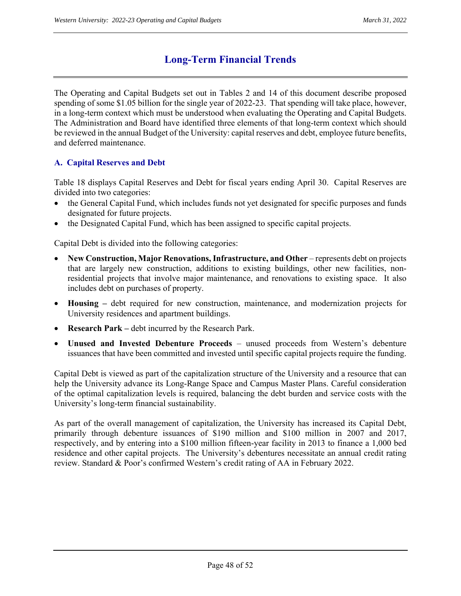# **Long-Term Financial Trends**

The Operating and Capital Budgets set out in Tables 2 and 14 of this document describe proposed spending of some \$1.05 billion for the single year of 2022-23. That spending will take place, however, in a long-term context which must be understood when evaluating the Operating and Capital Budgets. The Administration and Board have identified three elements of that long-term context which should be reviewed in the annual Budget of the University: capital reserves and debt, employee future benefits, and deferred maintenance.

## **A. Capital Reserves and Debt**

Table 18 displays Capital Reserves and Debt for fiscal years ending April 30. Capital Reserves are divided into two categories:

- the General Capital Fund, which includes funds not yet designated for specific purposes and funds designated for future projects.
- the Designated Capital Fund, which has been assigned to specific capital projects.

Capital Debt is divided into the following categories:

- **New Construction, Major Renovations, Infrastructure, and Other** represents debt on projects that are largely new construction, additions to existing buildings, other new facilities, nonresidential projects that involve major maintenance, and renovations to existing space. It also includes debt on purchases of property.
- **Housing** debt required for new construction, maintenance, and modernization projects for University residences and apartment buildings.
- **Research Park –** debt incurred by the Research Park.
- **Unused and Invested Debenture Proceeds** unused proceeds from Western's debenture issuances that have been committed and invested until specific capital projects require the funding.

Capital Debt is viewed as part of the capitalization structure of the University and a resource that can help the University advance its Long-Range Space and Campus Master Plans. Careful consideration of the optimal capitalization levels is required, balancing the debt burden and service costs with the University's long-term financial sustainability.

As part of the overall management of capitalization, the University has increased its Capital Debt, primarily through debenture issuances of \$190 million and \$100 million in 2007 and 2017, respectively, and by entering into a \$100 million fifteen-year facility in 2013 to finance a 1,000 bed residence and other capital projects. The University's debentures necessitate an annual credit rating review. Standard & Poor's confirmed Western's credit rating of AA in February 2022.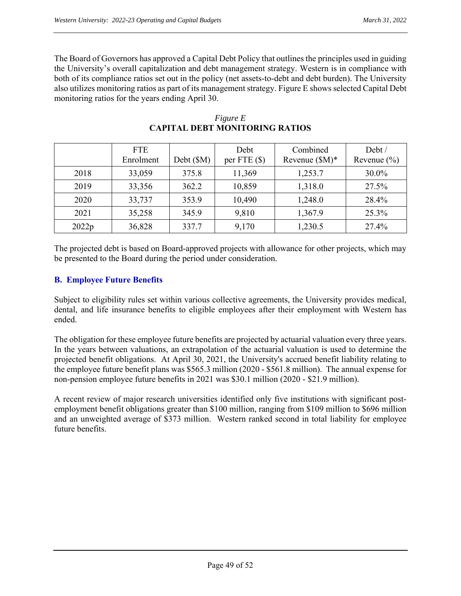The Board of Governors has approved a Capital Debt Policy that outlines the principles used in guiding the University's overall capitalization and debt management strategy. Western is in compliance with both of its compliance ratios set out in the policy (net assets-to-debt and debt burden). The University also utilizes monitoring ratios as part of its management strategy. Figure E shows selected Capital Debt monitoring ratios for the years ending April 30.

|       | <b>FTE</b><br>Enrolment | Debt (\$M) | Debt<br>per FTE $(\$)$ | Combined<br>Revenue $(M)^*$ | Debt /<br>Revenue $(\% )$ |
|-------|-------------------------|------------|------------------------|-----------------------------|---------------------------|
| 2018  | 33,059                  | 375.8      | 11,369                 | 1,253.7                     | 30.0%                     |
| 2019  | 33,356                  | 362.2      | 10,859                 | 1,318.0                     | 27.5%                     |
| 2020  | 33,737                  | 353.9      | 10,490                 | 1,248.0                     | 28.4%                     |
| 2021  | 35,258                  | 345.9      | 9,810                  | 1,367.9                     | 25.3%                     |
| 2022p | 36,828                  | 337.7      | 9,170                  | 1,230.5                     | 27.4%                     |

#### *Figure E*  **CAPITAL DEBT MONITORING RATIOS**

The projected debt is based on Board-approved projects with allowance for other projects, which may be presented to the Board during the period under consideration.

## **B. Employee Future Benefits**

Subject to eligibility rules set within various collective agreements, the University provides medical, dental, and life insurance benefits to eligible employees after their employment with Western has ended.

The obligation for these employee future benefits are projected by actuarial valuation every three years. In the years between valuations, an extrapolation of the actuarial valuation is used to determine the projected benefit obligations. At April 30, 2021, the University's accrued benefit liability relating to the employee future benefit plans was \$565.3 million (2020 - \$561.8 million). The annual expense for non-pension employee future benefits in 2021 was \$30.1 million (2020 - \$21.9 million).

A recent review of major research universities identified only five institutions with significant postemployment benefit obligations greater than \$100 million, ranging from \$109 million to \$696 million and an unweighted average of \$373 million. Western ranked second in total liability for employee future benefits.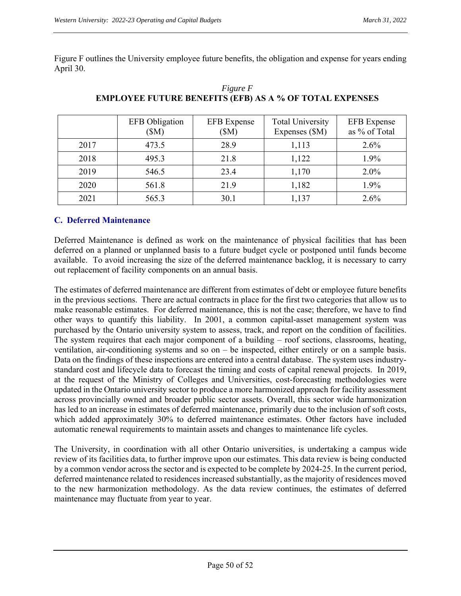Figure F outlines the University employee future benefits, the obligation and expense for years ending April 30.

|      | <b>EFB</b> Obligation<br>(SM) | <b>EFB</b> Expense<br>(SM) | <b>Total University</b><br>Expenses (\$M) | <b>EFB</b> Expense<br>as % of Total |
|------|-------------------------------|----------------------------|-------------------------------------------|-------------------------------------|
| 2017 | 473.5                         | 28.9                       | 1,113                                     | 2.6%                                |
| 2018 | 495.3                         | 21.8                       | 1,122                                     | 1.9%                                |
| 2019 | 546.5                         | 23.4                       | 1,170                                     | $2.0\%$                             |
| 2020 | 561.8                         | 21.9                       | 1,182                                     | 1.9%                                |
| 2021 | 565.3                         | 30.1                       | 1,137                                     | 2.6%                                |

*Figure F*  **EMPLOYEE FUTURE BENEFITS (EFB) AS A % OF TOTAL EXPENSES** 

#### **C. Deferred Maintenance**

Deferred Maintenance is defined as work on the maintenance of physical facilities that has been deferred on a planned or unplanned basis to a future budget cycle or postponed until funds become available. To avoid increasing the size of the deferred maintenance backlog, it is necessary to carry out replacement of facility components on an annual basis.

The estimates of deferred maintenance are different from estimates of debt or employee future benefits in the previous sections. There are actual contracts in place for the first two categories that allow us to make reasonable estimates. For deferred maintenance, this is not the case; therefore, we have to find other ways to quantify this liability. In 2001, a common capital-asset management system was purchased by the Ontario university system to assess, track, and report on the condition of facilities. The system requires that each major component of a building – roof sections, classrooms, heating, ventilation, air-conditioning systems and so on – be inspected, either entirely or on a sample basis. Data on the findings of these inspections are entered into a central database. The system uses industrystandard cost and lifecycle data to forecast the timing and costs of capital renewal projects. In 2019, at the request of the Ministry of Colleges and Universities, cost-forecasting methodologies were updated in the Ontario university sector to produce a more harmonized approach for facility assessment across provincially owned and broader public sector assets. Overall, this sector wide harmonization has led to an increase in estimates of deferred maintenance, primarily due to the inclusion of soft costs, which added approximately 30% to deferred maintenance estimates. Other factors have included automatic renewal requirements to maintain assets and changes to maintenance life cycles.

The University, in coordination with all other Ontario universities, is undertaking a campus wide review of its facilities data, to further improve upon our estimates. This data review is being conducted by a common vendor across the sector and is expected to be complete by 2024-25. In the current period, deferred maintenance related to residences increased substantially, as the majority of residences moved to the new harmonization methodology. As the data review continues, the estimates of deferred maintenance may fluctuate from year to year.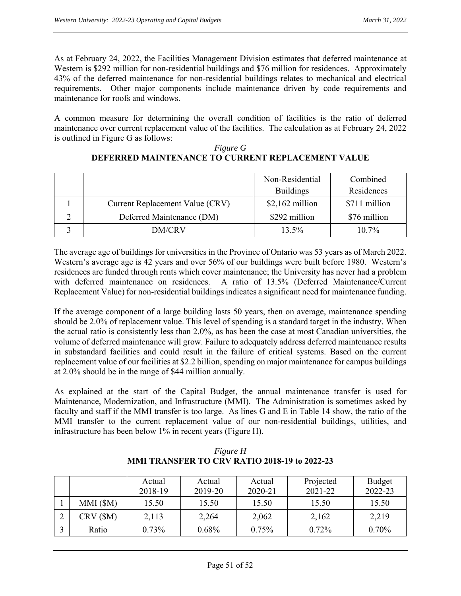As at February 24, 2022, the Facilities Management Division estimates that deferred maintenance at Western is \$292 million for non-residential buildings and \$76 million for residences. Approximately 43% of the deferred maintenance for non-residential buildings relates to mechanical and electrical requirements. Other major components include maintenance driven by code requirements and maintenance for roofs and windows.

A common measure for determining the overall condition of facilities is the ratio of deferred maintenance over current replacement value of the facilities. The calculation as at February 24, 2022 is outlined in Figure G as follows:

|                                 | Non-Residential  | Combined      |
|---------------------------------|------------------|---------------|
|                                 | <b>Buildings</b> | Residences    |
| Current Replacement Value (CRV) | $$2,162$ million | \$711 million |
| Deferred Maintenance (DM)       | \$292 million    | \$76 million  |
| DM/CRV                          | $13.5\%$         | $10.7\%$      |

#### *Figure G*  **DEFERRED MAINTENANCE TO CURRENT REPLACEMENT VALUE**

The average age of buildings for universities in the Province of Ontario was 53 years as of March 2022. Western's average age is 42 years and over 56% of our buildings were built before 1980. Western's residences are funded through rents which cover maintenance; the University has never had a problem with deferred maintenance on residences. A ratio of 13.5% (Deferred Maintenance/Current Replacement Value) for non-residential buildings indicates a significant need for maintenance funding.

If the average component of a large building lasts 50 years, then on average, maintenance spending should be 2.0% of replacement value. This level of spending is a standard target in the industry. When the actual ratio is consistently less than 2.0%, as has been the case at most Canadian universities, the volume of deferred maintenance will grow. Failure to adequately address deferred maintenance results in substandard facilities and could result in the failure of critical systems. Based on the current replacement value of our facilities at \$2.2 billion, spending on major maintenance for campus buildings at 2.0% should be in the range of \$44 million annually.

As explained at the start of the Capital Budget, the annual maintenance transfer is used for Maintenance, Modernization, and Infrastructure (MMI). The Administration is sometimes asked by faculty and staff if the MMI transfer is too large. As lines G and E in Table 14 show, the ratio of the MMI transfer to the current replacement value of our non-residential buildings, utilities, and infrastructure has been below 1% in recent years (Figure H).

|           | Actual<br>2018-19 | Actual<br>2019-20 | Actual<br>2020-21 | Projected<br>2021-22 | <b>Budget</b><br>2022-23 |
|-----------|-------------------|-------------------|-------------------|----------------------|--------------------------|
| MMI (SM)  | 15.50             | 15.50             | 15.50             | 15.50                | 15.50                    |
| CRV (\$M) | 2,113             | 2,264             | 2,062             | 2,162                | 2,219                    |
| Ratio     | 0.73%             | 0.68%             | 0.75%             | $0.72\%$             | 0.70%                    |

*Figure H*  **MMI TRANSFER TO CRV RATIO 2018-19 to 2022-23**